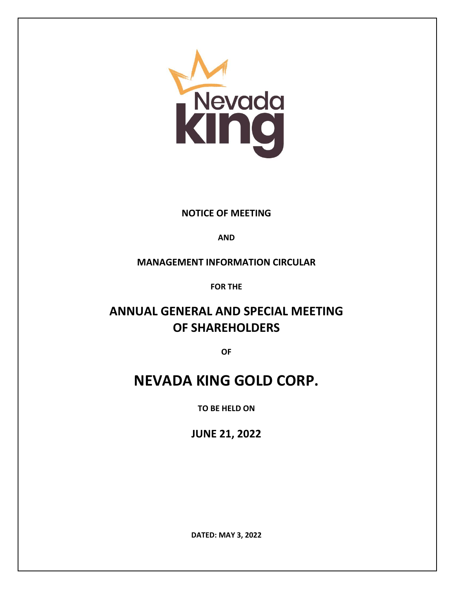

### **NOTICE OF MEETING**

### **AND**

### **MANAGEMENT INFORMATION CIRCULAR**

**FOR THE**

## **ANNUAL GENERAL AND SPECIAL MEETING OF SHAREHOLDERS**

**OF**

# **NEVADA KING GOLD CORP.**

**TO BE HELD ON**

**JUNE 21, 2022**

**DATED: MAY 3, 2022**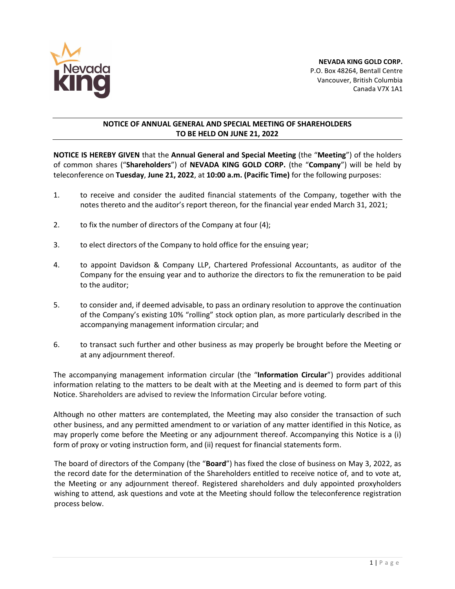

### **NOTICE OF ANNUAL GENERAL AND SPECIAL MEETING OF SHAREHOLDERS TO BE HELD ON JUNE 21, 2022**

**NOTICE IS HEREBY GIVEN** that the **Annual General and Special Meeting** (the "**Meeting**") of the holders of common shares ("**Shareholders**") of **NEVADA KING GOLD CORP.** (the "**Company**") will be held by teleconference on **Tuesday**, **June 21, 2022**, at **10:00 a.m. (Pacific Time)** for the following purposes:

- 1. to receive and consider the audited financial statements of the Company, together with the notes thereto and the auditor's report thereon, for the financial year ended March 31, 2021;
- 2. to fix the number of directors of the Company at four (4);
- 3. to elect directors of the Company to hold office for the ensuing year;
- 4. to appoint Davidson & Company LLP, Chartered Professional Accountants, as auditor of the Company for the ensuing year and to authorize the directors to fix the remuneration to be paid to the auditor;
- 5. to consider and, if deemed advisable, to pass an ordinary resolution to approve the continuation of the Company's existing 10% "rolling" stock option plan, as more particularly described in the accompanying management information circular; and
- 6. to transact such further and other business as may properly be brought before the Meeting or at any adjournment thereof.

The accompanying management information circular (the "**Information Circular**") provides additional information relating to the matters to be dealt with at the Meeting and is deemed to form part of this Notice. Shareholders are advised to review the Information Circular before voting.

Although no other matters are contemplated, the Meeting may also consider the transaction of such other business, and any permitted amendment to or variation of any matter identified in this Notice, as may properly come before the Meeting or any adjournment thereof. Accompanying this Notice is a (i) form of proxy or voting instruction form, and (ii) request for financial statements form.

The board of directors of the Company (the "**Board**") has fixed the close of business on May 3, 2022, as the record date for the determination of the Shareholders entitled to receive notice of, and to vote at, the Meeting or any adjournment thereof. Registered shareholders and duly appointed proxyholders wishing to attend, ask questions and vote at the Meeting should follow the teleconference registration process below.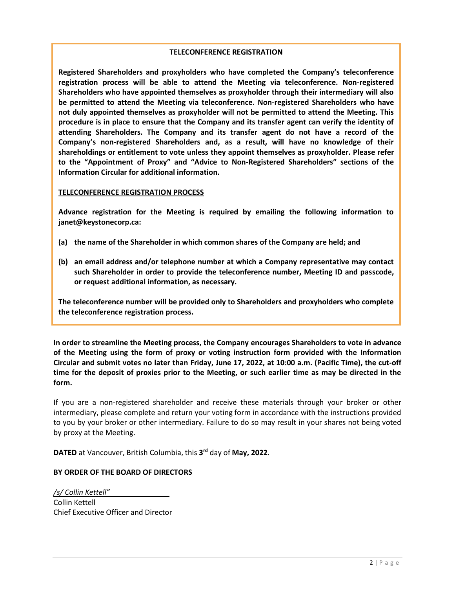### **TELECONFERENCE REGISTRATION**

**Registered Shareholders and proxyholders who have completed the Company's teleconference registration process will be able to attend the Meeting via teleconference. Non-registered Shareholders who have appointed themselves as proxyholder through their intermediary will also be permitted to attend the Meeting via teleconference. Non-registered Shareholders who have not duly appointed themselves as proxyholder will not be permitted to attend the Meeting. This procedure is in place to ensure that the Company and its transfer agent can verify the identity of attending Shareholders. The Company and its transfer agent do not have a record of the Company's non-registered Shareholders and, as a result, will have no knowledge of their shareholdings or entitlement to vote unless they appoint themselves as proxyholder. Please refer to the "Appointment of Proxy" and "Advice to Non-Registered Shareholders" sections of the Information Circular for additional information.**

### **TELECONFERENCE REGISTRATION PROCESS**

**Advance registration for the Meeting is required by emailing the following information to janet@keystonecorp.ca:** 

- **(a) the name of the Shareholder in which common shares of the Company are held; and**
- **(b) an email address and/or telephone number at which a Company representative may contact such Shareholder in order to provide the teleconference number, Meeting ID and passcode, or request additional information, as necessary.**

**The teleconference number will be provided only to Shareholders and proxyholders who complete the teleconference registration process.**

**In order to streamline the Meeting process, the Company encourages Shareholders to vote in advance of the Meeting using the form of proxy or voting instruction form provided with the Information Circular and submit votes no later than Friday, June 17, 2022, at 10:00 a.m. (Pacific Time), the cut-off time for the deposit of proxies prior to the Meeting, or such earlier time as may be directed in the form.**

If you are a non-registered shareholder and receive these materials through your broker or other intermediary, please complete and return your voting form in accordance with the instructions provided to you by your broker or other intermediary. Failure to do so may result in your shares not being voted by proxy at the Meeting.

**DATED** at Vancouver, British Columbia, this **3 rd** day of **May, 2022**.

### **BY ORDER OF THE BOARD OF DIRECTORS**

*/s/ Collin Kettell"* Collin Kettell Chief Executive Officer and Director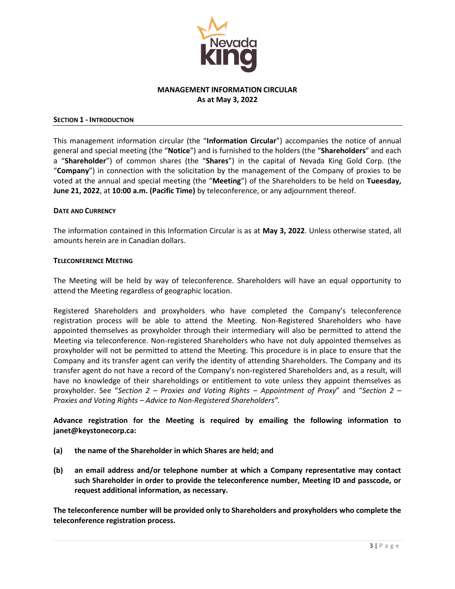

### **MANAGEMENT INFORMATION CIRCULAR As at May 3, 2022**

#### **SECTION 1 - INTRODUCTION**

This management information circular (the "**Information Circular**") accompanies the notice of annual general and special meeting (the "**Notice**") and is furnished to the holders (the "**Shareholders**" and each a "**Shareholder**") of common shares (the "**Shares**") in the capital of Nevada King Gold Corp. (the "**Company**") in connection with the solicitation by the management of the Company of proxies to be voted at the annual and special meeting (the "**Meeting**") of the Shareholders to be held on **Tueesday, June 21, 2022**, at **10:00 a.m. (Pacific Time)** by teleconference, or any adjournment thereof.

#### **DATE AND CURRENCY**

The information contained in this Information Circular is as at **May 3, 2022**. Unless otherwise stated, all amounts herein are in Canadian dollars.

#### **TELECONFERENCE MEETING**

The Meeting will be held by way of teleconference. Shareholders will have an equal opportunity to attend the Meeting regardless of geographic location.

Registered Shareholders and proxyholders who have completed the Company's teleconference registration process will be able to attend the Meeting. Non-Registered Shareholders who have appointed themselves as proxyholder through their intermediary will also be permitted to attend the Meeting via teleconference. Non-registered Shareholders who have not duly appointed themselves as proxyholder will not be permitted to attend the Meeting. This procedure is in place to ensure that the Company and its transfer agent can verify the identity of attending Shareholders. The Company and its transfer agent do not have a record of the Company's non-registered Shareholders and, as a result, will have no knowledge of their shareholdings or entitlement to vote unless they appoint themselves as proxyholder. See "*Section 2 – Proxies and Voting Rights – Appointment of Proxy*" and "*Section 2 – Proxies and Voting Rights – Advice to Non-Registered Shareholders".*

**Advance registration for the Meeting is required by emailing the following information to janet@keystonecorp.ca:** 

- **(a) the name of the Shareholder in which Shares are held; and**
- **(b) an email address and/or telephone number at which a Company representative may contact such Shareholder in order to provide the teleconference number, Meeting ID and passcode, or request additional information, as necessary.**

**The teleconference number will be provided only to Shareholders and proxyholders who complete the teleconference registration process.**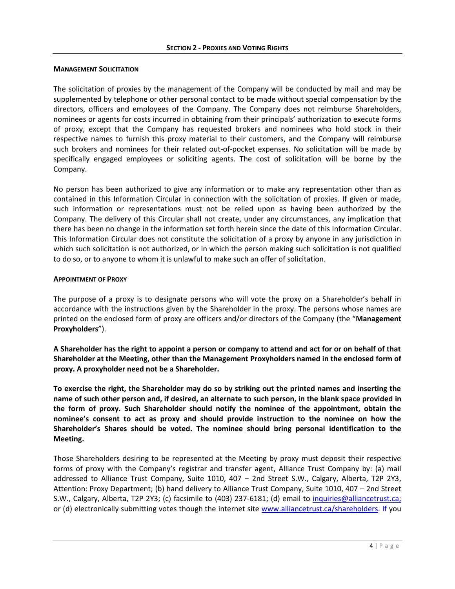### **MANAGEMENT SOLICITATION**

The solicitation of proxies by the management of the Company will be conducted by mail and may be supplemented by telephone or other personal contact to be made without special compensation by the directors, officers and employees of the Company. The Company does not reimburse Shareholders, nominees or agents for costs incurred in obtaining from their principals' authorization to execute forms of proxy, except that the Company has requested brokers and nominees who hold stock in their respective names to furnish this proxy material to their customers, and the Company will reimburse such brokers and nominees for their related out-of-pocket expenses. No solicitation will be made by specifically engaged employees or soliciting agents. The cost of solicitation will be borne by the Company.

No person has been authorized to give any information or to make any representation other than as contained in this Information Circular in connection with the solicitation of proxies. If given or made, such information or representations must not be relied upon as having been authorized by the Company. The delivery of this Circular shall not create, under any circumstances, any implication that there has been no change in the information set forth herein since the date of this Information Circular. This Information Circular does not constitute the solicitation of a proxy by anyone in any jurisdiction in which such solicitation is not authorized, or in which the person making such solicitation is not qualified to do so, or to anyone to whom it is unlawful to make such an offer of solicitation.

### **APPOINTMENT OF PROXY**

The purpose of a proxy is to designate persons who will vote the proxy on a Shareholder's behalf in accordance with the instructions given by the Shareholder in the proxy. The persons whose names are printed on the enclosed form of proxy are officers and/or directors of the Company (the "**Management Proxyholders**").

**A Shareholder has the right to appoint a person or company to attend and act for or on behalf of that Shareholder at the Meeting, other than the Management Proxyholders named in the enclosed form of proxy. A proxyholder need not be a Shareholder.**

**To exercise the right, the Shareholder may do so by striking out the printed names and inserting the name of such other person and, if desired, an alternate to such person, in the blank space provided in the form of proxy. Such Shareholder should notify the nominee of the appointment, obtain the nominee's consent to act as proxy and should provide instruction to the nominee on how the Shareholder's Shares should be voted. The nominee should bring personal identification to the Meeting.**

Those Shareholders desiring to be represented at the Meeting by proxy must deposit their respective forms of proxy with the Company's registrar and transfer agent, Alliance Trust Company by: (a) mail addressed to Alliance Trust Company, Suite 1010, 407 – 2nd Street S.W., Calgary, Alberta, T2P 2Y3, Attention: Proxy Department; (b) hand delivery to Alliance Trust Company, Suite 1010, 407 – 2nd Street S.W., Calgary, Alberta, T2P 2Y3; (c) facsimile to (403) 237-6181; (d) email to [inquiries@alliancetrust.ca;](mailto:inquiries@alliancetrust.ca) or (d) electronically submitting votes though the internet site [www.alliancetrust.ca/shareholders.](http://www.alliancetrust.ca/shareholders) If you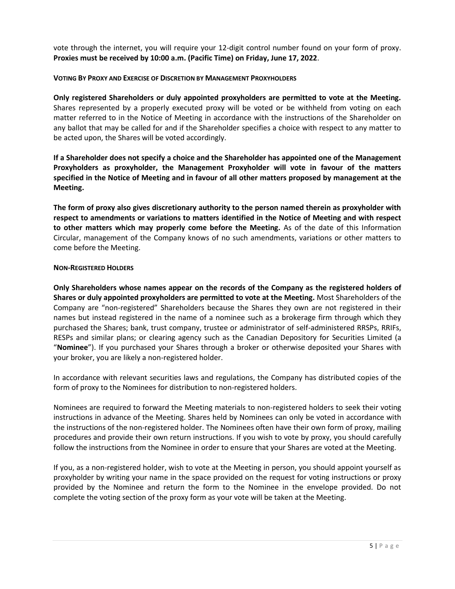vote through the internet, you will require your 12-digit control number found on your form of proxy. **Proxies must be received by 10:00 a.m. (Pacific Time) on Friday, June 17, 2022**.

### **VOTING BY PROXY AND EXERCISE OF DISCRETION BY MANAGEMENT PROXYHOLDERS**

**Only registered Shareholders or duly appointed proxyholders are permitted to vote at the Meeting.**  Shares represented by a properly executed proxy will be voted or be withheld from voting on each matter referred to in the Notice of Meeting in accordance with the instructions of the Shareholder on any ballot that may be called for and if the Shareholder specifies a choice with respect to any matter to be acted upon, the Shares will be voted accordingly.

**If a Shareholder does not specify a choice and the Shareholder has appointed one of the Management Proxyholders as proxyholder, the Management Proxyholder will vote in favour of the matters specified in the Notice of Meeting and in favour of all other matters proposed by management at the Meeting.** 

**The form of proxy also gives discretionary authority to the person named therein as proxyholder with respect to amendments or variations to matters identified in the Notice of Meeting and with respect to other matters which may properly come before the Meeting.** As of the date of this Information Circular, management of the Company knows of no such amendments, variations or other matters to come before the Meeting.

### **NON-REGISTERED HOLDERS**

**Only Shareholders whose names appear on the records of the Company as the registered holders of Shares or duly appointed proxyholders are permitted to vote at the Meeting.** Most Shareholders of the Company are "non-registered" Shareholders because the Shares they own are not registered in their names but instead registered in the name of a nominee such as a brokerage firm through which they purchased the Shares; bank, trust company, trustee or administrator of self-administered RRSPs, RRIFs, RESPs and similar plans; or clearing agency such as the Canadian Depository for Securities Limited (a "**Nominee**"). If you purchased your Shares through a broker or otherwise deposited your Shares with your broker, you are likely a non-registered holder.

In accordance with relevant securities laws and regulations, the Company has distributed copies of the form of proxy to the Nominees for distribution to non-registered holders.

Nominees are required to forward the Meeting materials to non-registered holders to seek their voting instructions in advance of the Meeting. Shares held by Nominees can only be voted in accordance with the instructions of the non-registered holder. The Nominees often have their own form of proxy, mailing procedures and provide their own return instructions. If you wish to vote by proxy, you should carefully follow the instructions from the Nominee in order to ensure that your Shares are voted at the Meeting.

If you, as a non-registered holder, wish to vote at the Meeting in person, you should appoint yourself as proxyholder by writing your name in the space provided on the request for voting instructions or proxy provided by the Nominee and return the form to the Nominee in the envelope provided. Do not complete the voting section of the proxy form as your vote will be taken at the Meeting.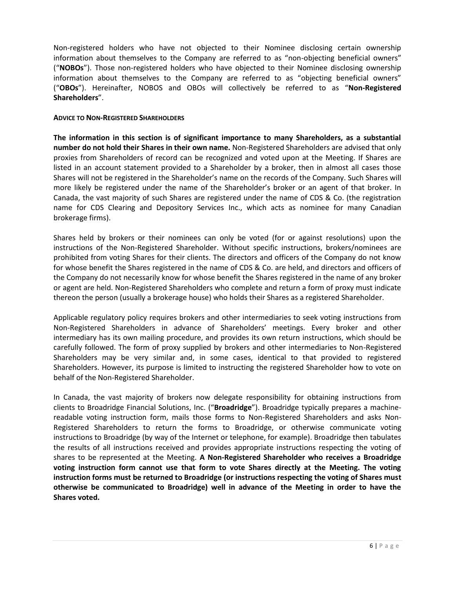Non-registered holders who have not objected to their Nominee disclosing certain ownership information about themselves to the Company are referred to as "non-objecting beneficial owners" ("**NOBOs**"). Those non-registered holders who have objected to their Nominee disclosing ownership information about themselves to the Company are referred to as "objecting beneficial owners" ("**OBOs**"). Hereinafter, NOBOS and OBOs will collectively be referred to as "**Non-Registered Shareholders**".

### **ADVICE TO NON-REGISTERED SHAREHOLDERS**

**The information in this section is of significant importance to many Shareholders, as a substantial number do not hold their Shares in their own name.** Non-Registered Shareholders are advised that only proxies from Shareholders of record can be recognized and voted upon at the Meeting. If Shares are listed in an account statement provided to a Shareholder by a broker, then in almost all cases those Shares will not be registered in the Shareholder's name on the records of the Company. Such Shares will more likely be registered under the name of the Shareholder's broker or an agent of that broker. In Canada, the vast majority of such Shares are registered under the name of CDS & Co. (the registration name for CDS Clearing and Depository Services Inc., which acts as nominee for many Canadian brokerage firms).

Shares held by brokers or their nominees can only be voted (for or against resolutions) upon the instructions of the Non-Registered Shareholder. Without specific instructions, brokers/nominees are prohibited from voting Shares for their clients. The directors and officers of the Company do not know for whose benefit the Shares registered in the name of CDS & Co. are held, and directors and officers of the Company do not necessarily know for whose benefit the Shares registered in the name of any broker or agent are held. Non-Registered Shareholders who complete and return a form of proxy must indicate thereon the person (usually a brokerage house) who holds their Shares as a registered Shareholder.

Applicable regulatory policy requires brokers and other intermediaries to seek voting instructions from Non-Registered Shareholders in advance of Shareholders' meetings. Every broker and other intermediary has its own mailing procedure, and provides its own return instructions, which should be carefully followed. The form of proxy supplied by brokers and other intermediaries to Non-Registered Shareholders may be very similar and, in some cases, identical to that provided to registered Shareholders. However, its purpose is limited to instructing the registered Shareholder how to vote on behalf of the Non-Registered Shareholder.

In Canada, the vast majority of brokers now delegate responsibility for obtaining instructions from clients to Broadridge Financial Solutions, Inc. ("**Broadridge**"). Broadridge typically prepares a machinereadable voting instruction form, mails those forms to Non-Registered Shareholders and asks Non-Registered Shareholders to return the forms to Broadridge, or otherwise communicate voting instructions to Broadridge (by way of the Internet or telephone, for example). Broadridge then tabulates the results of all instructions received and provides appropriate instructions respecting the voting of shares to be represented at the Meeting. **A Non-Registered Shareholder who receives a Broadridge voting instruction form cannot use that form to vote Shares directly at the Meeting. The voting instruction forms must be returned to Broadridge (or instructions respecting the voting of Shares must otherwise be communicated to Broadridge) well in advance of the Meeting in order to have the Shares voted.**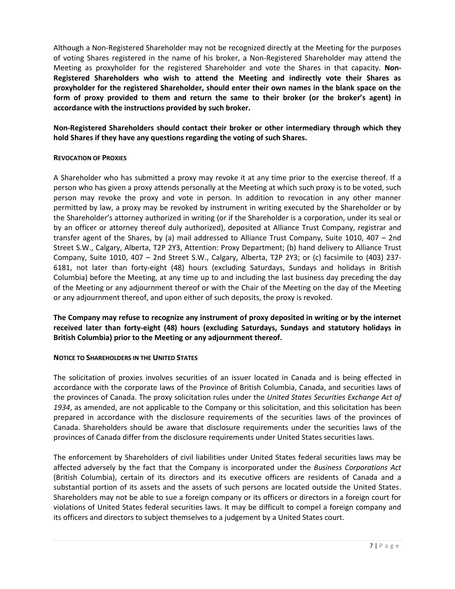Although a Non-Registered Shareholder may not be recognized directly at the Meeting for the purposes of voting Shares registered in the name of his broker, a Non-Registered Shareholder may attend the Meeting as proxyholder for the registered Shareholder and vote the Shares in that capacity. **Non-Registered Shareholders who wish to attend the Meeting and indirectly vote their Shares as proxyholder for the registered Shareholder, should enter their own names in the blank space on the form of proxy provided to them and return the same to their broker (or the broker's agent) in accordance with the instructions provided by such broker.** 

**Non-Registered Shareholders should contact their broker or other intermediary through which they hold Shares if they have any questions regarding the voting of such Shares.**

### **REVOCATION OF PROXIES**

A Shareholder who has submitted a proxy may revoke it at any time prior to the exercise thereof. If a person who has given a proxy attends personally at the Meeting at which such proxy is to be voted, such person may revoke the proxy and vote in person. In addition to revocation in any other manner permitted by law, a proxy may be revoked by instrument in writing executed by the Shareholder or by the Shareholder's attorney authorized in writing (or if the Shareholder is a corporation, under its seal or by an officer or attorney thereof duly authorized), deposited at Alliance Trust Company, registrar and transfer agent of the Shares, by (a) mail addressed to Alliance Trust Company, Suite 1010, 407 – 2nd Street S.W., Calgary, Alberta, T2P 2Y3, Attention: Proxy Department; (b) hand delivery to Alliance Trust Company, Suite 1010, 407 – 2nd Street S.W., Calgary, Alberta, T2P 2Y3; or (c) facsimile to (403) 237- 6181, not later than forty-eight (48) hours (excluding Saturdays, Sundays and holidays in British Columbia) before the Meeting, at any time up to and including the last business day preceding the day of the Meeting or any adjournment thereof or with the Chair of the Meeting on the day of the Meeting or any adjournment thereof, and upon either of such deposits, the proxy is revoked.

**The Company may refuse to recognize any instrument of proxy deposited in writing or by the internet received later than forty-eight (48) hours (excluding Saturdays, Sundays and statutory holidays in British Columbia) prior to the Meeting or any adjournment thereof.**

### **NOTICE TO SHAREHOLDERS IN THE UNITED STATES**

The solicitation of proxies involves securities of an issuer located in Canada and is being effected in accordance with the corporate laws of the Province of British Columbia, Canada, and securities laws of the provinces of Canada. The proxy solicitation rules under the *United States Securities Exchange Act of 1934*, as amended, are not applicable to the Company or this solicitation, and this solicitation has been prepared in accordance with the disclosure requirements of the securities laws of the provinces of Canada. Shareholders should be aware that disclosure requirements under the securities laws of the provinces of Canada differ from the disclosure requirements under United States securities laws.

The enforcement by Shareholders of civil liabilities under United States federal securities laws may be affected adversely by the fact that the Company is incorporated under the *Business Corporations Act* (British Columbia), certain of its directors and its executive officers are residents of Canada and a substantial portion of its assets and the assets of such persons are located outside the United States. Shareholders may not be able to sue a foreign company or its officers or directors in a foreign court for violations of United States federal securities laws. It may be difficult to compel a foreign company and its officers and directors to subject themselves to a judgement by a United States court.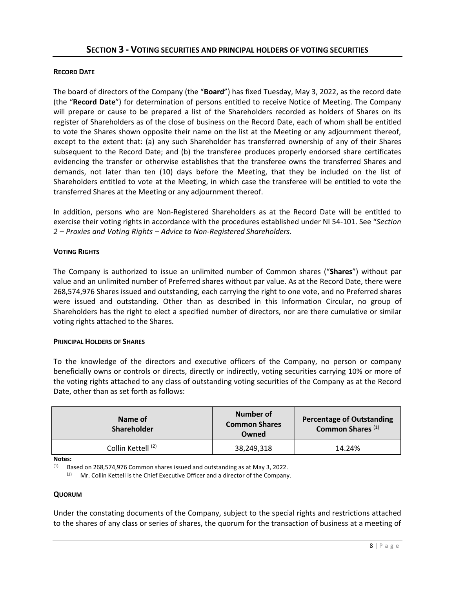### **RECORD DATE**

The board of directors of the Company (the "**Board**") has fixed Tuesday, May 3, 2022, as the record date (the "**Record Date**") for determination of persons entitled to receive Notice of Meeting. The Company will prepare or cause to be prepared a list of the Shareholders recorded as holders of Shares on its register of Shareholders as of the close of business on the Record Date, each of whom shall be entitled to vote the Shares shown opposite their name on the list at the Meeting or any adjournment thereof, except to the extent that: (a) any such Shareholder has transferred ownership of any of their Shares subsequent to the Record Date; and (b) the transferee produces properly endorsed share certificates evidencing the transfer or otherwise establishes that the transferee owns the transferred Shares and demands, not later than ten (10) days before the Meeting, that they be included on the list of Shareholders entitled to vote at the Meeting, in which case the transferee will be entitled to vote the transferred Shares at the Meeting or any adjournment thereof.

In addition, persons who are Non-Registered Shareholders as at the Record Date will be entitled to exercise their voting rights in accordance with the procedures established under NI 54-101. See "*Section 2 – Proxies and Voting Rights – Advice to Non-Registered Shareholders.*

### **VOTING RIGHTS**

The Company is authorized to issue an unlimited number of Common shares ("**Shares**") without par value and an unlimited number of Preferred shares without par value. As at the Record Date, there were 268,574,976 Shares issued and outstanding, each carrying the right to one vote, and no Preferred shares were issued and outstanding. Other than as described in this Information Circular, no group of Shareholders has the right to elect a specified number of directors, nor are there cumulative or similar voting rights attached to the Shares.

### **PRINCIPAL HOLDERS OF SHARES**

To the knowledge of the directors and executive officers of the Company, no person or company beneficially owns or controls or directs, directly or indirectly, voting securities carrying 10% or more of the voting rights attached to any class of outstanding voting securities of the Company as at the Record Date, other than as set forth as follows:

| Name of<br><b>Shareholder</b> | Number of<br><b>Common Shares</b><br>Owned | <b>Percentage of Outstanding</b><br>Common Shares <sup>(1)</sup> |
|-------------------------------|--------------------------------------------|------------------------------------------------------------------|
| Collin Kettell <sup>(2)</sup> | 38,249,318                                 | 14.24%                                                           |

**Notes:**

 $(1)$  Based on 268,574,976 Common shares issued and outstanding as at May 3, 2022.

Mr. Collin Kettell is the Chief Executive Officer and a director of the Company.

### **QUORUM**

Under the constating documents of the Company, subject to the special rights and restrictions attached to the shares of any class or series of shares, the quorum for the transaction of business at a meeting of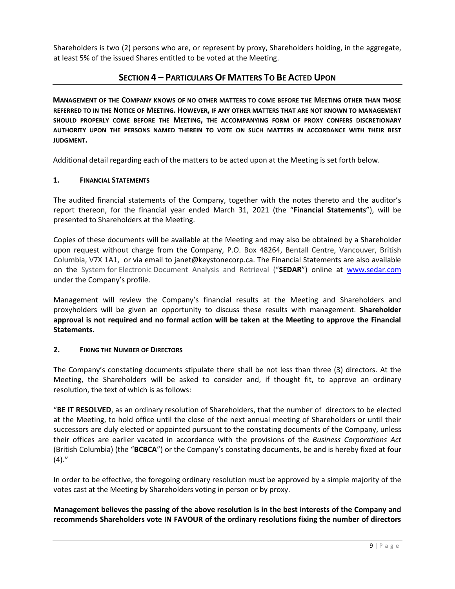Shareholders is two (2) persons who are, or represent by proxy, Shareholders holding, in the aggregate, at least 5% of the issued Shares entitled to be voted at the Meeting.

### **SECTION 4 – PARTICULARS OF MATTERS TO BE ACTED UPON**

**MANAGEMENT OF THE COMPANY KNOWS OF NO OTHER MATTERS TO COME BEFORE THE MEETING OTHER THAN THOSE REFERRED TO IN THE NOTICE OF MEETING. HOWEVER, IF ANY OTHER MATTERS THAT ARE NOT KNOWN TO MANAGEMENT SHOULD PROPERLY COME BEFORE THE MEETING, THE ACCOMPANYING FORM OF PROXY CONFERS DISCRETIONARY AUTHORITY UPON THE PERSONS NAMED THEREIN TO VOTE ON SUCH MATTERS IN ACCORDANCE WITH THEIR BEST JUDGMENT.**

Additional detail regarding each of the matters to be acted upon at the Meeting is set forth below.

### **1. FINANCIAL STATEMENTS**

The audited financial statements of the Company, together with the notes thereto and the auditor's report thereon, for the financial year ended March 31, 2021 (the "**Financial Statements**"), will be presented to Shareholders at the Meeting.

Copies of these documents will be available at the Meeting and may also be obtained by a Shareholder upon request without charge from the Company, P.O. Box 48264, Bentall Centre, Vancouver, British Columbia, V7X 1A1, or via email to janet@keystonecorp.ca. The Financial Statements are also available on the System for Electronic Document Analysis and Retrieval ("**SEDAR**") online at [www.sedar.com](http://www.sedar.com/) under the Company's profile.

Management will review the Company's financial results at the Meeting and Shareholders and proxyholders will be given an opportunity to discuss these results with management. **Shareholder approval is not required and no formal action will be taken at the Meeting to approve the Financial Statements.** 

### **2. FIXING THE NUMBER OF DIRECTORS**

The Company's constating documents stipulate there shall be not less than three (3) directors. At the Meeting, the Shareholders will be asked to consider and, if thought fit, to approve an ordinary resolution, the text of which is as follows:

"**BE IT RESOLVED**, as an ordinary resolution of Shareholders, that the number of directors to be elected at the Meeting, to hold office until the close of the next annual meeting of Shareholders or until their successors are duly elected or appointed pursuant to the constating documents of the Company, unless their offices are earlier vacated in accordance with the provisions of the *Business Corporations Act*  (British Columbia) (the "**BCBCA**") or the Company's constating documents, be and is hereby fixed at four  $(4).''$ 

In order to be effective, the foregoing ordinary resolution must be approved by a simple majority of the votes cast at the Meeting by Shareholders voting in person or by proxy.

**Management believes the passing of the above resolution is in the best interests of the Company and recommends Shareholders vote IN FAVOUR of the ordinary resolutions fixing the number of directors**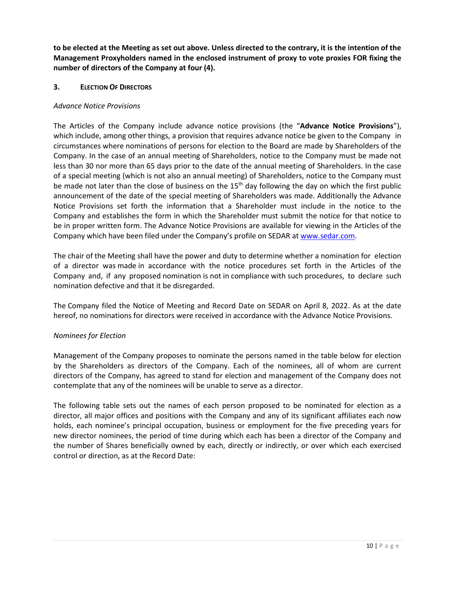**to be elected at the Meeting as set out above. Unless directed to the contrary, it is the intention of the Management Proxyholders named in the enclosed instrument of proxy to vote proxies FOR fixing the number of directors of the Company at four (4).**

### **3. ELECTION OF DIRECTORS**

### *Advance Notice Provisions*

The Articles of the Company include advance notice provisions (the "**Advance Notice Provisions**"), which include, among other things, a provision that requires advance notice be given to the Company in circumstances where nominations of persons for election to the Board are made by Shareholders of the Company. In the case of an annual meeting of Shareholders, notice to the Company must be made not less than 30 nor more than 65 days prior to the date of the annual meeting of Shareholders. In the case of a special meeting (which is not also an annual meeting) of Shareholders, notice to the Company must be made not later than the close of business on the 15<sup>th</sup> day following the day on which the first public announcement of the date of the special meeting of Shareholders was made. Additionally the Advance Notice Provisions set forth the information that a Shareholder must include in the notice to the Company and establishes the form in which the Shareholder must submit the notice for that notice to be in proper written form. The Advance Notice Provisions are available for viewing in the Articles of the Company which have been filed under the Company's profile on SEDAR a[t www.sedar.com.](http://www.sedar.com/)

The chair of the Meeting shall have the power and duty to determine whether a nomination for election of a director was made in accordance with the notice procedures set forth in the Articles of the Company and, if any proposed nomination is not in compliance with such procedures, to declare such nomination defective and that it be disregarded.

The Company filed the Notice of Meeting and Record Date on SEDAR on April 8, 2022. As at the date hereof, no nominations for directors were received in accordance with the Advance Notice Provisions.

### *Nominees for Election*

Management of the Company proposes to nominate the persons named in the table below for election by the Shareholders as directors of the Company. Each of the nominees, all of whom are current directors of the Company, has agreed to stand for election and management of the Company does not contemplate that any of the nominees will be unable to serve as a director.

The following table sets out the names of each person proposed to be nominated for election as a director, all major offices and positions with the Company and any of its significant affiliates each now holds, each nominee's principal occupation, business or employment for the five preceding years for new director nominees, the period of time during which each has been a director of the Company and the number of Shares beneficially owned by each, directly or indirectly, or over which each exercised control or direction, as at the Record Date: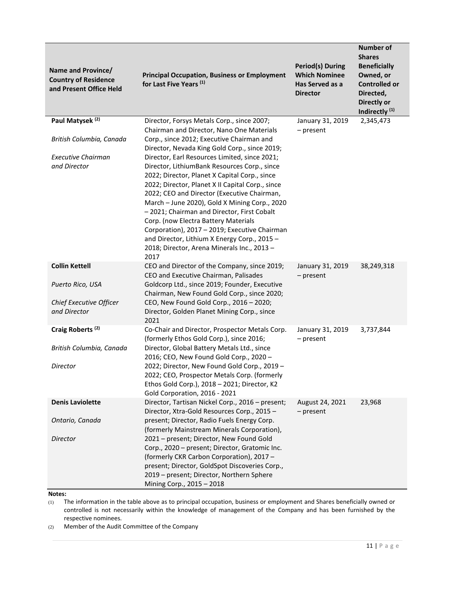| Name and Province/<br><b>Country of Residence</b><br>and Present Office Held | <b>Principal Occupation, Business or Employment</b><br>for Last Five Years <sup>(1)</sup>                                                                                                                                                                                                                                                                                                                                                        | <b>Period(s) During</b><br><b>Which Nominee</b><br>Has Served as a<br><b>Director</b> | <b>Number of</b><br><b>Shares</b><br><b>Beneficially</b><br>Owned, or<br><b>Controlled or</b><br>Directed,<br>Directly or<br>Indirectly <sup>(1)</sup> |
|------------------------------------------------------------------------------|--------------------------------------------------------------------------------------------------------------------------------------------------------------------------------------------------------------------------------------------------------------------------------------------------------------------------------------------------------------------------------------------------------------------------------------------------|---------------------------------------------------------------------------------------|--------------------------------------------------------------------------------------------------------------------------------------------------------|
| Paul Matysek <sup>(2)</sup>                                                  | Director, Forsys Metals Corp., since 2007;<br>Chairman and Director, Nano One Materials                                                                                                                                                                                                                                                                                                                                                          | January 31, 2019<br>- present                                                         | 2,345,473                                                                                                                                              |
| British Columbia, Canada<br><b>Executive Chairman</b><br>and Director        | Corp., since 2012; Executive Chairman and<br>Director, Nevada King Gold Corp., since 2019;<br>Director, Earl Resources Limited, since 2021;<br>Director, LithiumBank Resources Corp., since                                                                                                                                                                                                                                                      |                                                                                       |                                                                                                                                                        |
|                                                                              | 2022; Director, Planet X Capital Corp., since<br>2022; Director, Planet X II Capital Corp., since<br>2022; CEO and Director (Executive Chairman,<br>March - June 2020), Gold X Mining Corp., 2020<br>- 2021; Chairman and Director, First Cobalt<br>Corp. (now Electra Battery Materials<br>Corporation), 2017 - 2019; Executive Chairman<br>and Director, Lithium X Energy Corp., 2015 -<br>2018; Director, Arena Minerals Inc., 2013 -<br>2017 |                                                                                       |                                                                                                                                                        |
| <b>Collin Kettell</b><br>Puerto Rico, USA                                    | CEO and Director of the Company, since 2019;<br>CEO and Executive Chairman, Palisades<br>Goldcorp Ltd., since 2019; Founder, Executive                                                                                                                                                                                                                                                                                                           | January 31, 2019<br>- present                                                         | 38,249,318                                                                                                                                             |
| Chief Executive Officer<br>and Director                                      | Chairman, New Found Gold Corp., since 2020;<br>CEO, New Found Gold Corp., 2016 - 2020;<br>Director, Golden Planet Mining Corp., since<br>2021                                                                                                                                                                                                                                                                                                    |                                                                                       |                                                                                                                                                        |
| Craig Roberts <sup>(2)</sup><br>British Columbia, Canada                     | Co-Chair and Director, Prospector Metals Corp.<br>(formerly Ethos Gold Corp.), since 2016;<br>Director, Global Battery Metals Ltd., since                                                                                                                                                                                                                                                                                                        | January 31, 2019<br>- present                                                         | 3,737,844                                                                                                                                              |
| Director                                                                     | 2016; CEO, New Found Gold Corp., 2020 -<br>2022; Director, New Found Gold Corp., 2019 -<br>2022; CEO, Prospector Metals Corp. (formerly<br>Ethos Gold Corp.), 2018 - 2021; Director, K2<br>Gold Corporation, 2016 - 2021                                                                                                                                                                                                                         |                                                                                       |                                                                                                                                                        |
| <b>Denis Laviolette</b>                                                      | Director, Tartisan Nickel Corp., 2016 - present;<br>Director, Xtra-Gold Resources Corp., 2015 -                                                                                                                                                                                                                                                                                                                                                  | August 24, 2021                                                                       | 23,968                                                                                                                                                 |
| Ontario, Canada                                                              | present; Director, Radio Fuels Energy Corp.<br>(formerly Mainstream Minerals Corporation),                                                                                                                                                                                                                                                                                                                                                       | $-$ present                                                                           |                                                                                                                                                        |
| Director                                                                     | 2021 - present; Director, New Found Gold<br>Corp., 2020 - present; Director, Gratomic Inc.<br>(formerly CKR Carbon Corporation), 2017 -<br>present; Director, GoldSpot Discoveries Corp.,<br>2019 - present; Director, Northern Sphere<br>Mining Corp., 2015 - 2018                                                                                                                                                                              |                                                                                       |                                                                                                                                                        |

**Notes:**

(1) The information in the table above as to principal occupation, business or employment and Shares beneficially owned or controlled is not necessarily within the knowledge of management of the Company and has been furnished by the respective nominees.

(2) Member of the Audit Committee of the Company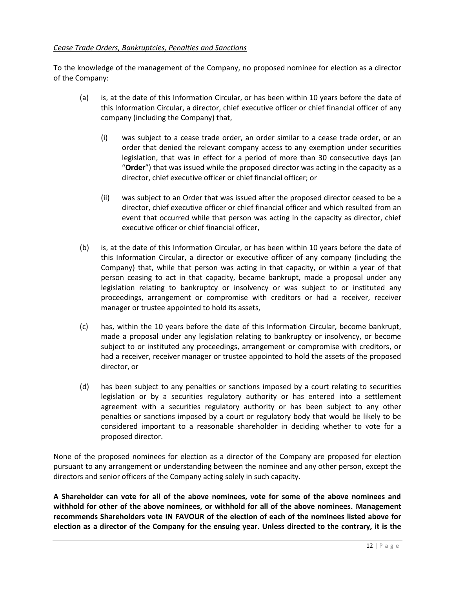### *Cease Trade Orders, Bankruptcies, Penalties and Sanctions*

To the knowledge of the management of the Company, no proposed nominee for election as a director of the Company:

- (a) is, at the date of this Information Circular, or has been within 10 years before the date of this Information Circular, a director, chief executive officer or chief financial officer of any company (including the Company) that,
	- (i) was subject to a cease trade order, an order similar to a cease trade order, or an order that denied the relevant company access to any exemption under securities legislation, that was in effect for a period of more than 30 consecutive days (an "**Order**") that was issued while the proposed director was acting in the capacity as a director, chief executive officer or chief financial officer; or
	- (ii) was subject to an Order that was issued after the proposed director ceased to be a director, chief executive officer or chief financial officer and which resulted from an event that occurred while that person was acting in the capacity as director, chief executive officer or chief financial officer,
- (b) is, at the date of this Information Circular, or has been within 10 years before the date of this Information Circular, a director or executive officer of any company (including the Company) that, while that person was acting in that capacity, or within a year of that person ceasing to act in that capacity, became bankrupt, made a proposal under any legislation relating to bankruptcy or insolvency or was subject to or instituted any proceedings, arrangement or compromise with creditors or had a receiver, receiver manager or trustee appointed to hold its assets,
- (c) has, within the 10 years before the date of this Information Circular, become bankrupt, made a proposal under any legislation relating to bankruptcy or insolvency, or become subject to or instituted any proceedings, arrangement or compromise with creditors, or had a receiver, receiver manager or trustee appointed to hold the assets of the proposed director, or
- (d) has been subject to any penalties or sanctions imposed by a court relating to securities legislation or by a securities regulatory authority or has entered into a settlement agreement with a securities regulatory authority or has been subject to any other penalties or sanctions imposed by a court or regulatory body that would be likely to be considered important to a reasonable shareholder in deciding whether to vote for a proposed director.

None of the proposed nominees for election as a director of the Company are proposed for election pursuant to any arrangement or understanding between the nominee and any other person, except the directors and senior officers of the Company acting solely in such capacity.

**A Shareholder can vote for all of the above nominees, vote for some of the above nominees and withhold for other of the above nominees, or withhold for all of the above nominees. Management recommends Shareholders vote IN FAVOUR of the election of each of the nominees listed above for election as a director of the Company for the ensuing year. Unless directed to the contrary, it is the**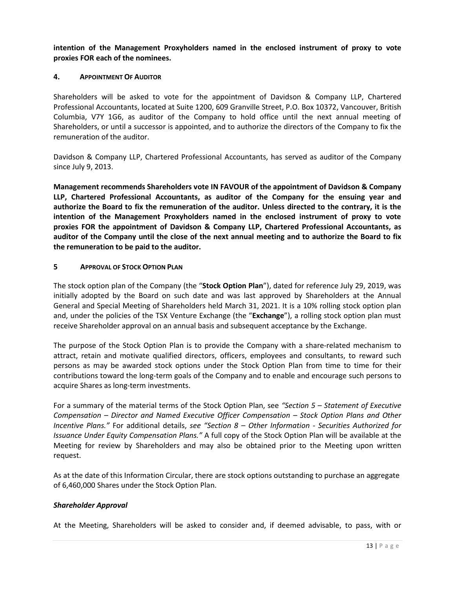**intention of the Management Proxyholders named in the enclosed instrument of proxy to vote proxies FOR each of the nominees.**

### **4. APPOINTMENT OF AUDITOR**

Shareholders will be asked to vote for the appointment of Davidson & Company LLP, Chartered Professional Accountants, located at Suite 1200, 609 Granville Street, P.O. Box 10372, Vancouver, British Columbia, V7Y 1G6, as auditor of the Company to hold office until the next annual meeting of Shareholders, or until a successor is appointed, and to authorize the directors of the Company to fix the remuneration of the auditor.

Davidson & Company LLP, Chartered Professional Accountants, has served as auditor of the Company since July 9, 2013.

**Management recommends Shareholders vote IN FAVOUR of the appointment of Davidson & Company LLP, Chartered Professional Accountants, as auditor of the Company for the ensuing year and authorize the Board to fix the remuneration of the auditor. Unless directed to the contrary, it is the intention of the Management Proxyholders named in the enclosed instrument of proxy to vote proxies FOR the appointment of Davidson & Company LLP, Chartered Professional Accountants, as auditor of the Company until the close of the next annual meeting and to authorize the Board to fix the remuneration to be paid to the auditor.**

### **5 APPROVAL OF STOCK OPTION PLAN**

The stock option plan of the Company (the "**Stock Option Plan**"), dated for reference July 29, 2019, was initially adopted by the Board on such date and was last approved by Shareholders at the Annual General and Special Meeting of Shareholders held March 31, 2021. It is a 10% rolling stock option plan and, under the policies of the TSX Venture Exchange (the "**Exchange**"), a rolling stock option plan must receive Shareholder approval on an annual basis and subsequent acceptance by the Exchange.

The purpose of the Stock Option Plan is to provide the Company with a share-related mechanism to attract, retain and motivate qualified directors, officers, employees and consultants, to reward such persons as may be awarded stock options under the Stock Option Plan from time to time for their contributions toward the long-term goals of the Company and to enable and encourage such persons to acquire Shares as long-term investments.

For a summary of the material terms of the Stock Option Plan, see *"Section 5 – Statement of Executive Compensation – Director and Named Executive Officer Compensation – Stock Option Plans and Other Incentive Plans."* For additional details, *see "Section 8 – Other Information - Securities Authorized for Issuance Under Equity Compensation Plans."* A full copy of the Stock Option Plan will be available at the Meeting for review by Shareholders and may also be obtained prior to the Meeting upon written request.

As at the date of this Information Circular, there are stock options outstanding to purchase an aggregate of 6,460,000 Shares under the Stock Option Plan.

### *Shareholder Approval*

At the Meeting, Shareholders will be asked to consider and, if deemed advisable, to pass, with or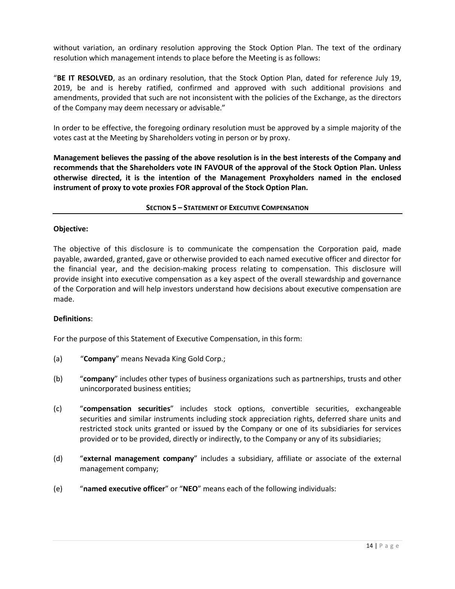without variation, an ordinary resolution approving the Stock Option Plan. The text of the ordinary resolution which management intends to place before the Meeting is as follows:

"**BE IT RESOLVED**, as an ordinary resolution, that the Stock Option Plan, dated for reference July 19, 2019, be and is hereby ratified, confirmed and approved with such additional provisions and amendments, provided that such are not inconsistent with the policies of the Exchange, as the directors of the Company may deem necessary or advisable."

In order to be effective, the foregoing ordinary resolution must be approved by a simple majority of the votes cast at the Meeting by Shareholders voting in person or by proxy.

**Management believes the passing of the above resolution is in the best interests of the Company and recommends that the Shareholders vote IN FAVOUR of the approval of the Stock Option Plan. Unless otherwise directed, it is the intention of the Management Proxyholders named in the enclosed instrument of proxy to vote proxies FOR approval of the Stock Option Plan.**

**SECTION 5 – STATEMENT OF EXECUTIVE COMPENSATION**

### **Objective:**

The objective of this disclosure is to communicate the compensation the Corporation paid, made payable, awarded, granted, gave or otherwise provided to each named executive officer and director for the financial year, and the decision-making process relating to compensation. This disclosure will provide insight into executive compensation as a key aspect of the overall stewardship and governance of the Corporation and will help investors understand how decisions about executive compensation are made.

### **Definitions**:

For the purpose of this Statement of Executive Compensation, in this form:

- (a) "**Company**" means Nevada King Gold Corp.;
- (b) "**company**" includes other types of business organizations such as partnerships, trusts and other unincorporated business entities;
- (c) "**compensation securities**" includes stock options, convertible securities, exchangeable securities and similar instruments including stock appreciation rights, deferred share units and restricted stock units granted or issued by the Company or one of its subsidiaries for services provided or to be provided, directly or indirectly, to the Company or any of its subsidiaries;
- (d) "**external management company**" includes a subsidiary, affiliate or associate of the external management company;
- (e) "**named executive officer**" or "**NEO**" means each of the following individuals: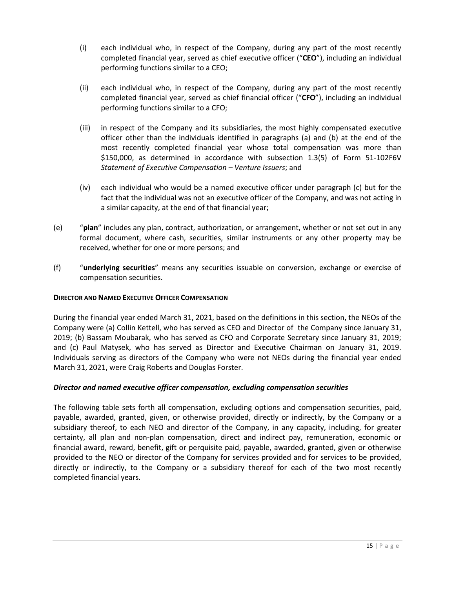- (i) each individual who, in respect of the Company, during any part of the most recently completed financial year, served as chief executive officer ("**CEO**"), including an individual performing functions similar to a CEO;
- (ii) each individual who, in respect of the Company, during any part of the most recently completed financial year, served as chief financial officer ("**CFO**"), including an individual performing functions similar to a CFO;
- (iii) in respect of the Company and its subsidiaries, the most highly compensated executive officer other than the individuals identified in paragraphs (a) and (b) at the end of the most recently completed financial year whose total compensation was more than \$150,000, as determined in accordance with subsection 1.3(5) of Form 51-102F6V *Statement of Executive Compensation – Venture Issuers*; and
- (iv) each individual who would be a named executive officer under paragraph (c) but for the fact that the individual was not an executive officer of the Company, and was not acting in a similar capacity, at the end of that financial year;
- (e) "**plan**" includes any plan, contract, authorization, or arrangement, whether or not set out in any formal document, where cash, securities, similar instruments or any other property may be received, whether for one or more persons; and
- (f) "**underlying securities**" means any securities issuable on conversion, exchange or exercise of compensation securities.

### **DIRECTOR AND NAMED EXECUTIVE OFFICER COMPENSATION**

During the financial year ended March 31, 2021, based on the definitions in this section, the NEOs of the Company were (a) Collin Kettell, who has served as CEO and Director of the Company since January 31, 2019; (b) Bassam Moubarak, who has served as CFO and Corporate Secretary since January 31, 2019; and (c) Paul Matysek, who has served as Director and Executive Chairman on January 31, 2019. Individuals serving as directors of the Company who were not NEOs during the financial year ended March 31, 2021, were Craig Roberts and Douglas Forster.

### *Director and named executive officer compensation, excluding compensation securities*

The following table sets forth all compensation, excluding options and compensation securities, paid, payable, awarded, granted, given, or otherwise provided, directly or indirectly, by the Company or a subsidiary thereof, to each NEO and director of the Company, in any capacity, including, for greater certainty, all plan and non-plan compensation, direct and indirect pay, remuneration, economic or financial award, reward, benefit, gift or perquisite paid, payable, awarded, granted, given or otherwise provided to the NEO or director of the Company for services provided and for services to be provided, directly or indirectly, to the Company or a subsidiary thereof for each of the two most recently completed financial years.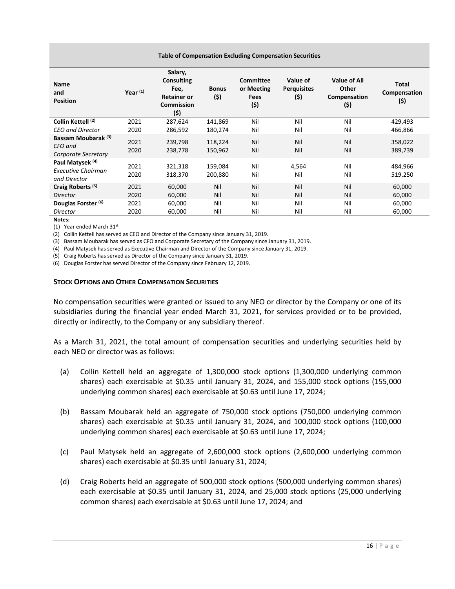| Year $(1)$   | Salary,<br><b>Consulting</b><br>Fee,<br><b>Retainer or</b><br>Commission<br>(5) | <b>Bonus</b><br>(5) | <b>Committee</b><br>or Meeting<br><b>Fees</b><br>(5) | Value of<br><b>Perquisites</b><br>(\$) | Value of All<br>Other<br>Compensation<br>(\$) | <b>Total</b><br>Compensation<br>(\$) |
|--------------|---------------------------------------------------------------------------------|---------------------|------------------------------------------------------|----------------------------------------|-----------------------------------------------|--------------------------------------|
| 2021         | 287,624                                                                         | 141,869             | Nil                                                  | Nil                                    | Nil                                           | 429,493                              |
| 2020         | 286,592                                                                         | 180,274             | Nil                                                  | Nil                                    | Nil                                           | 466,866                              |
| 2021<br>2020 | 239,798<br>238,778                                                              | 118,224<br>150,962  | Nil<br>Nil                                           | Nil<br>Nil                             | Nil<br>Nil                                    | 358,022<br>389,739                   |
| 2021<br>2020 | 321,318<br>318,370                                                              | 159,084<br>200,880  | Nil<br>Nil                                           | 4,564<br>Nil                           | Nil<br>Nil                                    | 484,966<br>519,250                   |
| 2021<br>2020 | 60,000<br>60,000                                                                | Nil<br>Nil          | Nil<br>Nil                                           | Nil<br>Nil                             | Nil<br>Nil                                    | 60,000<br>60,000                     |
| 2021         | 60,000                                                                          | Nil                 | Nil                                                  | Nil                                    | Nil                                           | 60,000<br>60,000                     |
|              | 2020                                                                            | 60,000              | Nil                                                  | Nil                                    | Nil                                           | Nil                                  |

**Table of Compensation Excluding Compensation Securities**

**Notes:**

(1) Year ended March 31st

(2) Collin Kettell has served as CEO and Director of the Company since January 31, 2019.

(3) Bassam Moubarak has served as CFO and Corporate Secretary of the Company since January 31, 2019.

(4) Paul Matysek has served as Executive Chairman and Director of the Company since January 31, 2019.

(5) Craig Roberts has served as Director of the Company since January 31, 2019.

(6) Douglas Forster has served Director of the Company since February 12, 2019.

### **STOCK OPTIONS AND OTHER COMPENSATION SECURITIES**

No compensation securities were granted or issued to any NEO or director by the Company or one of its subsidiaries during the financial year ended March 31, 2021, for services provided or to be provided, directly or indirectly, to the Company or any subsidiary thereof.

As a March 31, 2021, the total amount of compensation securities and underlying securities held by each NEO or director was as follows:

- (a) Collin Kettell held an aggregate of 1,300,000 stock options (1,300,000 underlying common shares) each exercisable at \$0.35 until January 31, 2024, and 155,000 stock options (155,000 underlying common shares) each exercisable at \$0.63 until June 17, 2024;
- (b) Bassam Moubarak held an aggregate of 750,000 stock options (750,000 underlying common shares) each exercisable at \$0.35 until January 31, 2024, and 100,000 stock options (100,000 underlying common shares) each exercisable at \$0.63 until June 17, 2024;
- (c) Paul Matysek held an aggregate of 2,600,000 stock options (2,600,000 underlying common shares) each exercisable at \$0.35 until January 31, 2024;
- (d) Craig Roberts held an aggregate of 500,000 stock options (500,000 underlying common shares) each exercisable at \$0.35 until January 31, 2024, and 25,000 stock options (25,000 underlying common shares) each exercisable at \$0.63 until June 17, 2024; and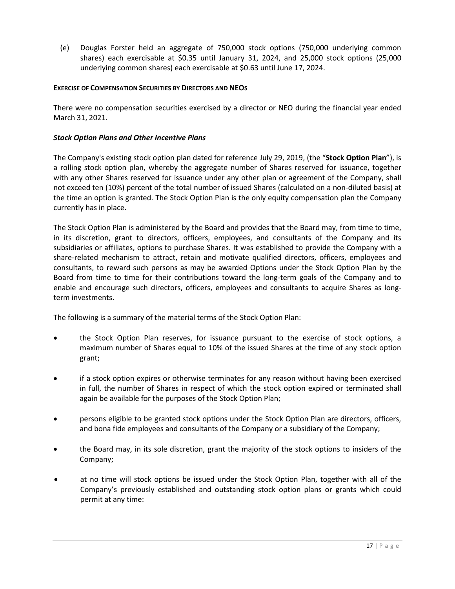(e) Douglas Forster held an aggregate of 750,000 stock options (750,000 underlying common shares) each exercisable at \$0.35 until January 31, 2024, and 25,000 stock options (25,000 underlying common shares) each exercisable at \$0.63 until June 17, 2024.

### **EXERCISE OF COMPENSATION SECURITIES BY DIRECTORS AND NEOS**

There were no compensation securities exercised by a director or NEO during the financial year ended March 31, 2021.

### *Stock Option Plans and Other Incentive Plans*

The Company's existing stock option plan dated for reference July 29, 2019, (the "**Stock Option Plan**"), is a rolling stock option plan, whereby the aggregate number of Shares reserved for issuance, together with any other Shares reserved for issuance under any other plan or agreement of the Company, shall not exceed ten (10%) percent of the total number of issued Shares (calculated on a non-diluted basis) at the time an option is granted. The Stock Option Plan is the only equity compensation plan the Company currently has in place.

The Stock Option Plan is administered by the Board and provides that the Board may, from time to time, in its discretion, grant to directors, officers, employees, and consultants of the Company and its subsidiaries or affiliates, options to purchase Shares. It was established to provide the Company with a share-related mechanism to attract, retain and motivate qualified directors, officers, employees and consultants, to reward such persons as may be awarded Options under the Stock Option Plan by the Board from time to time for their contributions toward the long-term goals of the Company and to enable and encourage such directors, officers, employees and consultants to acquire Shares as longterm investments.

The following is a summary of the material terms of the Stock Option Plan:

- the Stock Option Plan reserves, for issuance pursuant to the exercise of stock options, a maximum number of Shares equal to 10% of the issued Shares at the time of any stock option grant;
- if a stock option expires or otherwise terminates for any reason without having been exercised in full, the number of Shares in respect of which the stock option expired or terminated shall again be available for the purposes of the Stock Option Plan;
- persons eligible to be granted stock options under the Stock Option Plan are directors, officers, and bona fide employees and consultants of the Company or a subsidiary of the Company;
- the Board may, in its sole discretion, grant the majority of the stock options to insiders of the Company;
- at no time will stock options be issued under the Stock Option Plan, together with all of the Company's previously established and outstanding stock option plans or grants which could permit at any time: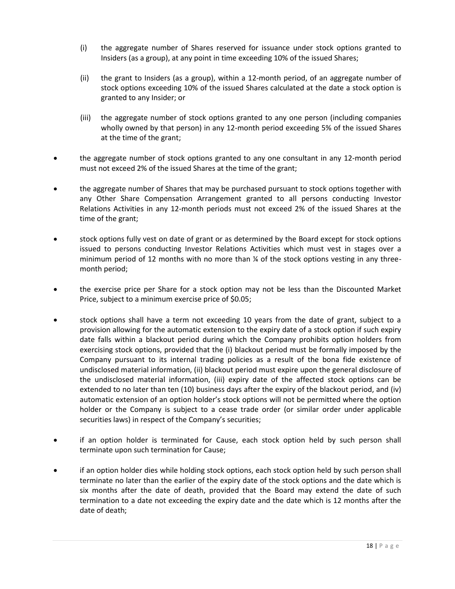- (i) the aggregate number of Shares reserved for issuance under stock options granted to Insiders (as a group), at any point in time exceeding 10% of the issued Shares;
- (ii) the grant to Insiders (as a group), within a 12-month period, of an aggregate number of stock options exceeding 10% of the issued Shares calculated at the date a stock option is granted to any Insider; or
- (iii) the aggregate number of stock options granted to any one person (including companies wholly owned by that person) in any 12-month period exceeding 5% of the issued Shares at the time of the grant;
- the aggregate number of stock options granted to any one consultant in any 12-month period must not exceed 2% of the issued Shares at the time of the grant;
- the aggregate number of Shares that may be purchased pursuant to stock options together with any Other Share Compensation Arrangement granted to all persons conducting Investor Relations Activities in any 12-month periods must not exceed 2% of the issued Shares at the time of the grant;
- stock options fully vest on date of grant or as determined by the Board except for stock options issued to persons conducting Investor Relations Activities which must vest in stages over a minimum period of 12 months with no more than  $\frac{1}{2}$  of the stock options vesting in any threemonth period;
- the exercise price per Share for a stock option may not be less than the Discounted Market Price, subject to a minimum exercise price of \$0.05;
- stock options shall have a term not exceeding 10 years from the date of grant, subject to a provision allowing for the automatic extension to the expiry date of a stock option if such expiry date falls within a blackout period during which the Company prohibits option holders from exercising stock options, provided that the (i) blackout period must be formally imposed by the Company pursuant to its internal trading policies as a result of the bona fide existence of undisclosed material information, (ii) blackout period must expire upon the general disclosure of the undisclosed material information, (iii) expiry date of the affected stock options can be extended to no later than ten (10) business days after the expiry of the blackout period, and (iv) automatic extension of an option holder's stock options will not be permitted where the option holder or the Company is subject to a cease trade order (or similar order under applicable securities laws) in respect of the Company's securities;
- if an option holder is terminated for Cause, each stock option held by such person shall terminate upon such termination for Cause;
- if an option holder dies while holding stock options, each stock option held by such person shall terminate no later than the earlier of the expiry date of the stock options and the date which is six months after the date of death, provided that the Board may extend the date of such termination to a date not exceeding the expiry date and the date which is 12 months after the date of death;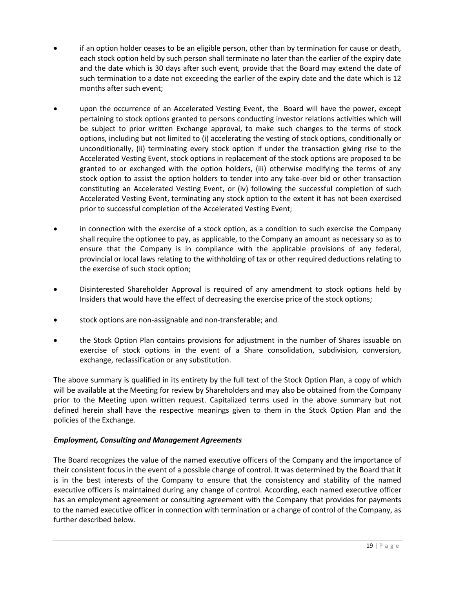- if an option holder ceases to be an eligible person, other than by termination for cause or death, each stock option held by such person shall terminate no later than the earlier of the expiry date and the date which is 30 days after such event, provide that the Board may extend the date of such termination to a date not exceeding the earlier of the expiry date and the date which is 12 months after such event;
- upon the occurrence of an Accelerated Vesting Event, the Board will have the power, except pertaining to stock options granted to persons conducting investor relations activities which will be subject to prior written Exchange approval, to make such changes to the terms of stock options, including but not limited to (i) accelerating the vesting of stock options, conditionally or unconditionally, (ii) terminating every stock option if under the transaction giving rise to the Accelerated Vesting Event, stock options in replacement of the stock options are proposed to be granted to or exchanged with the option holders, (iii) otherwise modifying the terms of any stock option to assist the option holders to tender into any take-over bid or other transaction constituting an Accelerated Vesting Event, or (iv) following the successful completion of such Accelerated Vesting Event, terminating any stock option to the extent it has not been exercised prior to successful completion of the Accelerated Vesting Event;
- in connection with the exercise of a stock option, as a condition to such exercise the Company shall require the optionee to pay, as applicable, to the Company an amount as necessary so as to ensure that the Company is in compliance with the applicable provisions of any federal, provincial or local laws relating to the withholding of tax or other required deductions relating to the exercise of such stock option;
- Disinterested Shareholder Approval is required of any amendment to stock options held by Insiders that would have the effect of decreasing the exercise price of the stock options;
- stock options are non-assignable and non-transferable; and
- the Stock Option Plan contains provisions for adjustment in the number of Shares issuable on exercise of stock options in the event of a Share consolidation, subdivision, conversion, exchange, reclassification or any substitution.

The above summary is qualified in its entirety by the full text of the Stock Option Plan, a copy of which will be available at the Meeting for review by Shareholders and may also be obtained from the Company prior to the Meeting upon written request. Capitalized terms used in the above summary but not defined herein shall have the respective meanings given to them in the Stock Option Plan and the policies of the Exchange.

### *Employment, Consulting and Management Agreements*

The Board recognizes the value of the named executive officers of the Company and the importance of their consistent focus in the event of a possible change of control. It was determined by the Board that it is in the best interests of the Company to ensure that the consistency and stability of the named executive officers is maintained during any change of control. According, each named executive officer has an employment agreement or consulting agreement with the Company that provides for payments to the named executive officer in connection with termination or a change of control of the Company, as further described below.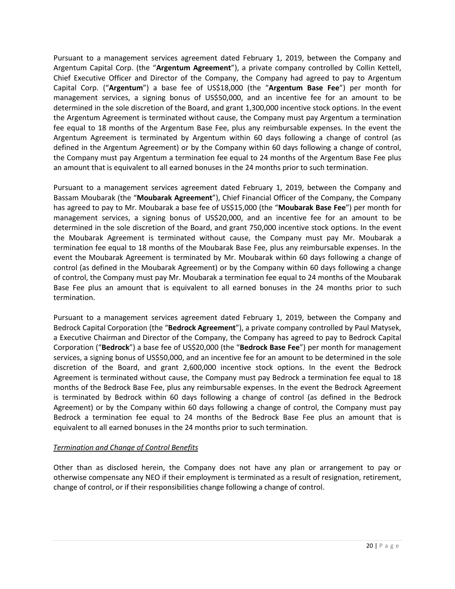Pursuant to a management services agreement dated February 1, 2019, between the Company and Argentum Capital Corp. (the "**Argentum Agreement**"), a private company controlled by Collin Kettell, Chief Executive Officer and Director of the Company, the Company had agreed to pay to Argentum Capital Corp. ("**Argentum**") a base fee of US\$18,000 (the "**Argentum Base Fee**") per month for management services, a signing bonus of US\$50,000, and an incentive fee for an amount to be determined in the sole discretion of the Board, and grant 1,300,000 incentive stock options. In the event the Argentum Agreement is terminated without cause, the Company must pay Argentum a termination fee equal to 18 months of the Argentum Base Fee, plus any reimbursable expenses. In the event the Argentum Agreement is terminated by Argentum within 60 days following a change of control (as defined in the Argentum Agreement) or by the Company within 60 days following a change of control, the Company must pay Argentum a termination fee equal to 24 months of the Argentum Base Fee plus an amount that is equivalent to all earned bonuses in the 24 months prior to such termination.

Pursuant to a management services agreement dated February 1, 2019, between the Company and Bassam Moubarak (the "**Moubarak Agreement**"), Chief Financial Officer of the Company, the Company has agreed to pay to Mr. Moubarak a base fee of US\$15,000 (the "**Moubarak Base Fee**") per month for management services, a signing bonus of US\$20,000, and an incentive fee for an amount to be determined in the sole discretion of the Board, and grant 750,000 incentive stock options. In the event the Moubarak Agreement is terminated without cause, the Company must pay Mr. Moubarak a termination fee equal to 18 months of the Moubarak Base Fee, plus any reimbursable expenses. In the event the Moubarak Agreement is terminated by Mr. Moubarak within 60 days following a change of control (as defined in the Moubarak Agreement) or by the Company within 60 days following a change of control, the Company must pay Mr. Moubarak a termination fee equal to 24 months of the Moubarak Base Fee plus an amount that is equivalent to all earned bonuses in the 24 months prior to such termination.

Pursuant to a management services agreement dated February 1, 2019, between the Company and Bedrock Capital Corporation (the "**Bedrock Agreement**"), a private company controlled by Paul Matysek, a Executive Chairman and Director of the Company, the Company has agreed to pay to Bedrock Capital Corporation ("**Bedrock**") a base fee of US\$20,000 (the "**Bedrock Base Fee**") per month for management services, a signing bonus of US\$50,000, and an incentive fee for an amount to be determined in the sole discretion of the Board, and grant 2,600,000 incentive stock options. In the event the Bedrock Agreement is terminated without cause, the Company must pay Bedrock a termination fee equal to 18 months of the Bedrock Base Fee, plus any reimbursable expenses. In the event the Bedrock Agreement is terminated by Bedrock within 60 days following a change of control (as defined in the Bedrock Agreement) or by the Company within 60 days following a change of control, the Company must pay Bedrock a termination fee equal to 24 months of the Bedrock Base Fee plus an amount that is equivalent to all earned bonuses in the 24 months prior to such termination.

### *Termination and Change of Control Benefits*

Other than as disclosed herein, the Company does not have any plan or arrangement to pay or otherwise compensate any NEO if their employment is terminated as a result of resignation, retirement, change of control, or if their responsibilities change following a change of control.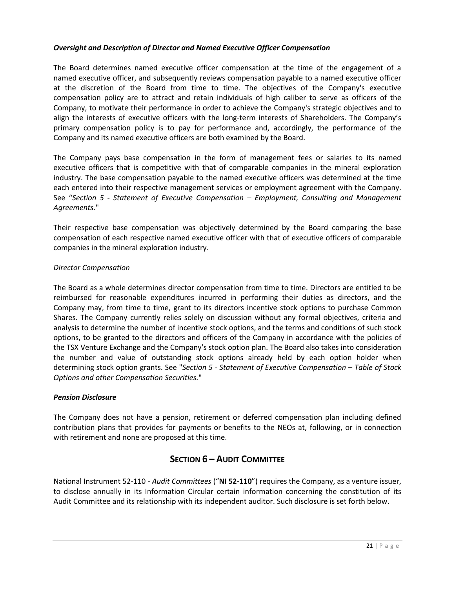### *Oversight and Description of Director and Named Executive Officer Compensation*

The Board determines named executive officer compensation at the time of the engagement of a named executive officer, and subsequently reviews compensation payable to a named executive officer at the discretion of the Board from time to time. The objectives of the Company's executive compensation policy are to attract and retain individuals of high caliber to serve as officers of the Company, to motivate their performance in order to achieve the Company's strategic objectives and to align the interests of executive officers with the long-term interests of Shareholders. The Company's primary compensation policy is to pay for performance and, accordingly, the performance of the Company and its named executive officers are both examined by the Board.

The Company pays base compensation in the form of management fees or salaries to its named executive officers that is competitive with that of comparable companies in the mineral exploration industry. The base compensation payable to the named executive officers was determined at the time each entered into their respective management services or employment agreement with the Company. See "*Section 5 - Statement of Executive Compensation – Employment, Consulting and Management Agreements.*"

Their respective base compensation was objectively determined by the Board comparing the base compensation of each respective named executive officer with that of executive officers of comparable companies in the mineral exploration industry.

### *Director Compensation*

The Board as a whole determines director compensation from time to time. Directors are entitled to be reimbursed for reasonable expenditures incurred in performing their duties as directors, and the Company may, from time to time, grant to its directors incentive stock options to purchase Common Shares. The Company currently relies solely on discussion without any formal objectives, criteria and analysis to determine the number of incentive stock options, and the terms and conditions of such stock options, to be granted to the directors and officers of the Company in accordance with the policies of the TSX Venture Exchange and the Company's stock option plan. The Board also takes into consideration the number and value of outstanding stock options already held by each option holder when determining stock option grants. See "*Section 5 - Statement of Executive Compensation – Table of Stock Options and other Compensation Securities.*"

### *Pension Disclosure*

The Company does not have a pension, retirement or deferred compensation plan including defined contribution plans that provides for payments or benefits to the NEOs at, following, or in connection with retirement and none are proposed at this time.

### **SECTION 6 – AUDIT COMMITTEE**

National Instrument 52-110 - *Audit Committees* ("**NI 52-110**") requires the Company, as a venture issuer, to disclose annually in its Information Circular certain information concerning the constitution of its Audit Committee and its relationship with its independent auditor. Such disclosure is set forth below.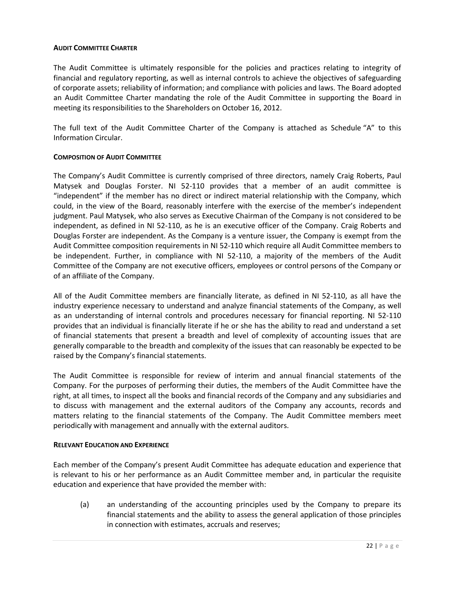### **AUDIT COMMITTEE CHARTER**

The Audit Committee is ultimately responsible for the policies and practices relating to integrity of financial and regulatory reporting, as well as internal controls to achieve the objectives of safeguarding of corporate assets; reliability of information; and compliance with policies and laws. The Board adopted an Audit Committee Charter mandating the role of the Audit Committee in supporting the Board in meeting its responsibilities to the Shareholders on October 16, 2012.

The full text of the Audit Committee Charter of the Company is attached as Schedule "A" to this Information Circular.

### **COMPOSITION OF AUDIT COMMITTEE**

The Company's Audit Committee is currently comprised of three directors, namely Craig Roberts, Paul Matysek and Douglas Forster. NI 52-110 provides that a member of an audit committee is "independent" if the member has no direct or indirect material relationship with the Company, which could, in the view of the Board, reasonably interfere with the exercise of the member's independent judgment. Paul Matysek, who also serves as Executive Chairman of the Company is not considered to be independent, as defined in NI 52-110, as he is an executive officer of the Company. Craig Roberts and Douglas Forster are independent. As the Company is a venture issuer, the Company is exempt from the Audit Committee composition requirements in NI 52-110 which require all Audit Committee members to be independent. Further, in compliance with NI 52-110, a majority of the members of the Audit Committee of the Company are not executive officers, employees or control persons of the Company or of an affiliate of the Company.

All of the Audit Committee members are financially literate, as defined in NI 52-110, as all have the industry experience necessary to understand and analyze financial statements of the Company, as well as an understanding of internal controls and procedures necessary for financial reporting. NI 52-110 provides that an individual is financially literate if he or she has the ability to read and understand a set of financial statements that present a breadth and level of complexity of accounting issues that are generally comparable to the breadth and complexity of the issues that can reasonably be expected to be raised by the Company's financial statements.

The Audit Committee is responsible for review of interim and annual financial statements of the Company. For the purposes of performing their duties, the members of the Audit Committee have the right, at all times, to inspect all the books and financial records of the Company and any subsidiaries and to discuss with management and the external auditors of the Company any accounts, records and matters relating to the financial statements of the Company. The Audit Committee members meet periodically with management and annually with the external auditors.

### **RELEVANT EDUCATION AND EXPERIENCE**

Each member of the Company's present Audit Committee has adequate education and experience that is relevant to his or her performance as an Audit Committee member and, in particular the requisite education and experience that have provided the member with:

(a) an understanding of the accounting principles used by the Company to prepare its financial statements and the ability to assess the general application of those principles in connection with estimates, accruals and reserves;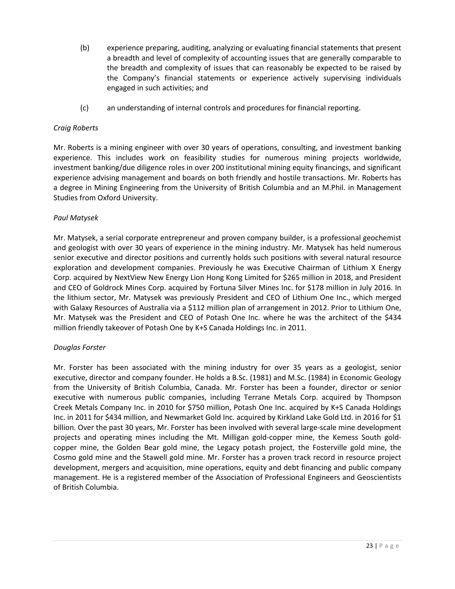- (b) experience preparing, auditing, analyzing or evaluating financial statements that present a breadth and level of complexity of accounting issues that are generally comparable to the breadth and complexity of issues that can reasonably be expected to be raised by the Company's financial statements or experience actively supervising individuals engaged in such activities; and
- (c) an understanding of internal controls and procedures for financial reporting.

### *Craig Roberts*

Mr. Roberts is a mining engineer with over 30 years of operations, consulting, and investment banking experience. This includes work on feasibility studies for numerous mining projects worldwide, investment banking/due diligence roles in over 200 institutional mining equity financings, and significant experience advising management and boards on both friendly and hostile transactions. Mr. Roberts has a degree in Mining Engineering from the University of British Columbia and an M.Phil. in Management Studies from Oxford University.

### *Paul Matysek*

Mr. Matysek, a serial corporate entrepreneur and proven company builder, is a professional geochemist and geologist with over 30 years of experience in the mining industry. Mr. Matysek has held numerous senior executive and director positions and currently holds such positions with several natural resource exploration and development companies. Previously he was Executive Chairman of Lithium X Energy Corp. acquired by NextView New Energy Lion Hong Kong Limited for \$265 million in 2018, and President and CEO of Goldrock Mines Corp. acquired by Fortuna Silver Mines Inc. for \$178 million in July 2016. In the lithium sector, Mr. Matysek was previously President and CEO of Lithium One Inc., which merged with Galaxy Resources of Australia via a \$112 million plan of arrangement in 2012. Prior to Lithium One, Mr. Matysek was the President and CEO of Potash One Inc. where he was the architect of the \$434 million friendly takeover of Potash One by K+S Canada Holdings Inc. in 2011.

### *Douglas Forster*

Mr. Forster has been associated with the mining industry for over 35 years as a geologist, senior executive, director and company founder. He holds a B.Sc. (1981) and M.Sc. (1984) in Economic Geology from the University of British Columbia, Canada. Mr. Forster has been a founder, director or senior executive with numerous public companies, including Terrane Metals Corp. acquired by Thompson Creek Metals Company Inc. in 2010 for \$750 million, Potash One Inc. acquired by K+S Canada Holdings Inc. in 2011 for \$434 million, and Newmarket Gold Inc. acquired by Kirkland Lake Gold Ltd. in 2016 for \$1 billion. Over the past 30 years, Mr. Forster has been involved with several large-scale mine development projects and operating mines including the Mt. Milligan gold-copper mine, the Kemess South goldcopper mine, the Golden Bear gold mine, the Legacy potash project, the Fosterville gold mine, the Cosmo gold mine and the Stawell gold mine. Mr. Forster has a proven track record in resource project development, mergers and acquisition, mine operations, equity and debt financing and public company management. He is a registered member of the Association of Professional Engineers and Geoscientists of British Columbia.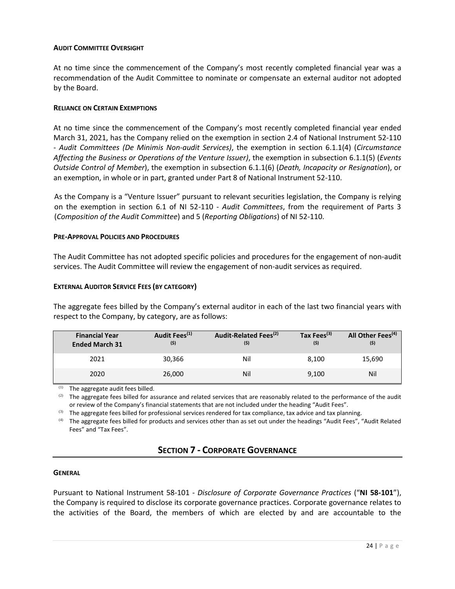### **AUDIT COMMITTEE OVERSIGHT**

At no time since the commencement of the Company's most recently completed financial year was a recommendation of the Audit Committee to nominate or compensate an external auditor not adopted by the Board.

### **RELIANCE ON CERTAIN EXEMPTIONS**

At no time since the commencement of the Company's most recently completed financial year ended March 31, 2021, has the Company relied on the exemption in section 2.4 of National Instrument 52-110 - *Audit Committees (De Minimis Non-audit Services)*, the exemption in section 6.1.1(4) (*Circumstance Affecting the Business or Operations of the Venture Issuer)*, the exemption in subsection 6.1.1(5) (*Events Outside Control of Member*), the exemption in subsection 6.1.1(6) (*Death, Incapacity or Resignation*), or an exemption, in whole or in part, granted under Part 8 of National Instrument 52-110.

As the Company is a "Venture Issuer" pursuant to relevant securities legislation, the Company is relying on the exemption in section 6.1 of NI 52-110 - *Audit Committees*, from the requirement of Parts 3 (*Composition of the Audit Committee*) and 5 (*Reporting Obligations*) of NI 52-110.

### **PRE-APPROVAL POLICIES AND PROCEDURES**

The Audit Committee has not adopted specific policies and procedures for the engagement of non-audit services. The Audit Committee will review the engagement of non-audit services as required.

### **EXTERNAL AUDITOR SERVICE FEES (BY CATEGORY)**

The aggregate fees billed by the Company's external auditor in each of the last two financial years with respect to the Company, by category, are as follows:

| <b>Financial Year</b><br><b>Ended March 31</b> | Audit Fees <sup>(1)</sup><br>(5) | Audit-Related Fees <sup>(2)</sup><br>(5) | Tax Fees <sup>(3)</sup><br>(5) | All Other Fees <sup>(4)</sup><br>(5) |
|------------------------------------------------|----------------------------------|------------------------------------------|--------------------------------|--------------------------------------|
| 2021                                           | 30,366                           | Nil                                      | 8.100                          | 15,690                               |
| 2020                                           | 26,000                           | Nil                                      | 9,100                          | Nil                                  |

(1) The aggregate audit fees billed.

(2) The aggregate fees billed for assurance and related services that are reasonably related to the performance of the audit or review of the Company's financial statements that are not included under the heading "Audit Fees".

 $(3)$  The aggregate fees billed for professional services rendered for tax compliance, tax advice and tax planning.

(4) The aggregate fees billed for products and services other than as set out under the headings "Audit Fees", "Audit Related Fees" and "Tax Fees".

### **SECTION 7 - CORPORATE GOVERNANCE**

### **GENERAL**

Pursuant to National Instrument 58-101 - *Disclosure of Corporate Governance Practices* ("**NI 58-101**"), the Company is required to disclose its corporate governance practices. Corporate governance relates to the activities of the Board, the members of which are elected by and are accountable to the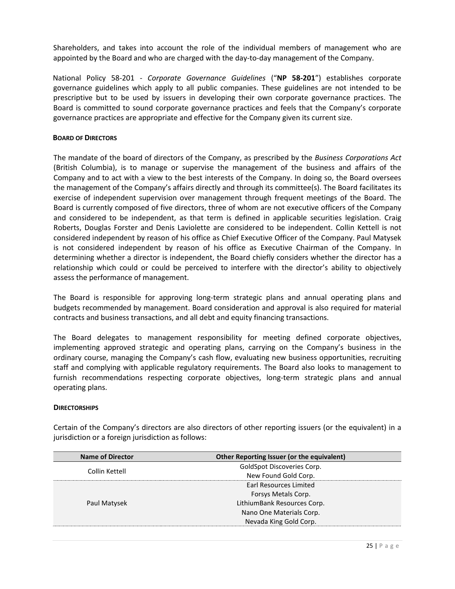Shareholders, and takes into account the role of the individual members of management who are appointed by the Board and who are charged with the day-to-day management of the Company.

National Policy 58-201 - *Corporate Governance Guidelines* ("**NP 58-201**") establishes corporate governance guidelines which apply to all public companies. These guidelines are not intended to be prescriptive but to be used by issuers in developing their own corporate governance practices. The Board is committed to sound corporate governance practices and feels that the Company's corporate governance practices are appropriate and effective for the Company given its current size.

### **BOARD OF DIRECTORS**

The mandate of the board of directors of the Company, as prescribed by the *Business Corporations Act*  (British Columbia), is to manage or supervise the management of the business and affairs of the Company and to act with a view to the best interests of the Company. In doing so, the Board oversees the management of the Company's affairs directly and through its committee(s). The Board facilitates its exercise of independent supervision over management through frequent meetings of the Board. The Board is currently composed of five directors, three of whom are not executive officers of the Company and considered to be independent, as that term is defined in applicable securities legislation. Craig Roberts, Douglas Forster and Denis Laviolette are considered to be independent. Collin Kettell is not considered independent by reason of his office as Chief Executive Officer of the Company. Paul Matysek is not considered independent by reason of his office as Executive Chairman of the Company. In determining whether a director is independent, the Board chiefly considers whether the director has a relationship which could or could be perceived to interfere with the director's ability to objectively assess the performance of management.

The Board is responsible for approving long-term strategic plans and annual operating plans and budgets recommended by management. Board consideration and approval is also required for material contracts and business transactions, and all debt and equity financing transactions.

The Board delegates to management responsibility for meeting defined corporate objectives, implementing approved strategic and operating plans, carrying on the Company's business in the ordinary course, managing the Company's cash flow, evaluating new business opportunities, recruiting staff and complying with applicable regulatory requirements. The Board also looks to management to furnish recommendations respecting corporate objectives, long-term strategic plans and annual operating plans.

### **DIRECTORSHIPS**

Certain of the Company's directors are also directors of other reporting issuers (or the equivalent) in a jurisdiction or a foreign jurisdiction as follows:

| <b>Name of Director</b> | Other Reporting Issuer (or the equivalent) |
|-------------------------|--------------------------------------------|
| Collin Kettell          | GoldSpot Discoveries Corp.                 |
|                         | New Found Gold Corp.                       |
| Paul Matysek            | Earl Resources Limited                     |
|                         | Forsys Metals Corp.                        |
|                         | LithiumBank Resources Corp.                |
|                         | Nano One Materials Corp.                   |
|                         | Nevada King Gold Corp.                     |
|                         |                                            |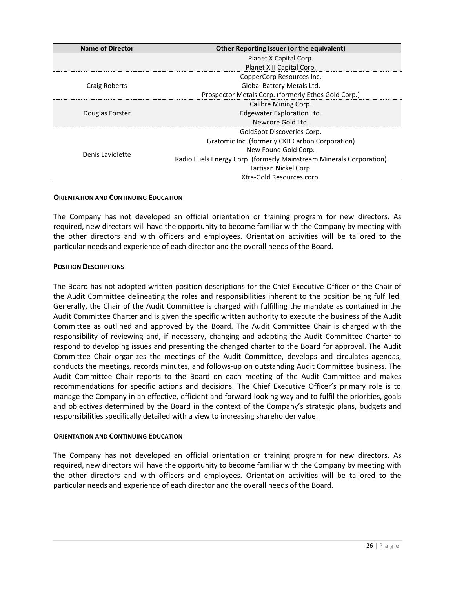| <b>Name of Director</b> | Other Reporting Issuer (or the equivalent)                          |
|-------------------------|---------------------------------------------------------------------|
|                         | Planet X Capital Corp.                                              |
|                         | Planet X II Capital Corp.                                           |
|                         | CopperCorp Resources Inc.                                           |
| Craig Roberts           | Global Battery Metals Ltd.                                          |
|                         | Prospector Metals Corp. (formerly Ethos Gold Corp.)                 |
|                         | Calibre Mining Corp.                                                |
| Douglas Forster         | Edgewater Exploration Ltd.                                          |
|                         | Newcore Gold Ltd.                                                   |
|                         | GoldSpot Discoveries Corp.                                          |
|                         | Gratomic Inc. (formerly CKR Carbon Corporation)                     |
| Denis Laviolette        | New Found Gold Corp.                                                |
|                         | Radio Fuels Energy Corp. (formerly Mainstream Minerals Corporation) |
|                         | Tartisan Nickel Corp.                                               |
|                         | Xtra-Gold Resources corp.                                           |

### **ORIENTATION AND CONTINUING EDUCATION**

The Company has not developed an official orientation or training program for new directors. As required, new directors will have the opportunity to become familiar with the Company by meeting with the other directors and with officers and employees. Orientation activities will be tailored to the particular needs and experience of each director and the overall needs of the Board.

### **POSITION DESCRIPTIONS**

The Board has not adopted written position descriptions for the Chief Executive Officer or the Chair of the Audit Committee delineating the roles and responsibilities inherent to the position being fulfilled. Generally, the Chair of the Audit Committee is charged with fulfilling the mandate as contained in the Audit Committee Charter and is given the specific written authority to execute the business of the Audit Committee as outlined and approved by the Board. The Audit Committee Chair is charged with the responsibility of reviewing and, if necessary, changing and adapting the Audit Committee Charter to respond to developing issues and presenting the changed charter to the Board for approval. The Audit Committee Chair organizes the meetings of the Audit Committee, develops and circulates agendas, conducts the meetings, records minutes, and follows-up on outstanding Audit Committee business. The Audit Committee Chair reports to the Board on each meeting of the Audit Committee and makes recommendations for specific actions and decisions. The Chief Executive Officer's primary role is to manage the Company in an effective, efficient and forward-looking way and to fulfil the priorities, goals and objectives determined by the Board in the context of the Company's strategic plans, budgets and responsibilities specifically detailed with a view to increasing shareholder value.

### **ORIENTATION AND CONTINUING EDUCATION**

The Company has not developed an official orientation or training program for new directors. As required, new directors will have the opportunity to become familiar with the Company by meeting with the other directors and with officers and employees. Orientation activities will be tailored to the particular needs and experience of each director and the overall needs of the Board.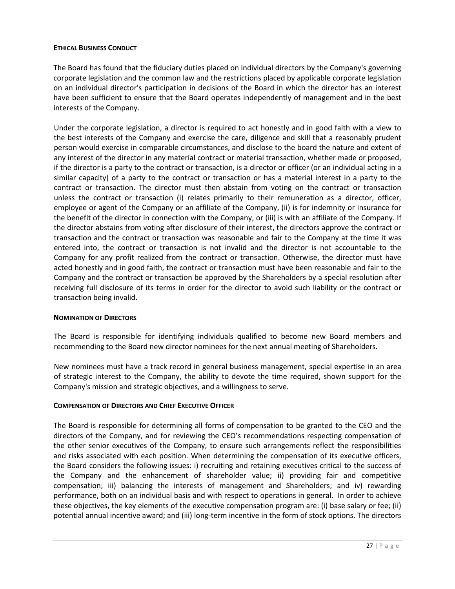### **ETHICAL BUSINESS CONDUCT**

The Board has found that the fiduciary duties placed on individual directors by the Company's governing corporate legislation and the common law and the restrictions placed by applicable corporate legislation on an individual director's participation in decisions of the Board in which the director has an interest have been sufficient to ensure that the Board operates independently of management and in the best interests of the Company.

Under the corporate legislation, a director is required to act honestly and in good faith with a view to the best interests of the Company and exercise the care, diligence and skill that a reasonably prudent person would exercise in comparable circumstances, and disclose to the board the nature and extent of any interest of the director in any material contract or material transaction, whether made or proposed, if the director is a party to the contract or transaction, is a director or officer (or an individual acting in a similar capacity) of a party to the contract or transaction or has a material interest in a party to the contract or transaction. The director must then abstain from voting on the contract or transaction unless the contract or transaction (i) relates primarily to their remuneration as a director, officer, employee or agent of the Company or an affiliate of the Company, (ii) is for indemnity or insurance for the benefit of the director in connection with the Company, or (iii) is with an affiliate of the Company. If the director abstains from voting after disclosure of their interest, the directors approve the contract or transaction and the contract or transaction was reasonable and fair to the Company at the time it was entered into, the contract or transaction is not invalid and the director is not accountable to the Company for any profit realized from the contract or transaction. Otherwise, the director must have acted honestly and in good faith, the contract or transaction must have been reasonable and fair to the Company and the contract or transaction be approved by the Shareholders by a special resolution after receiving full disclosure of its terms in order for the director to avoid such liability or the contract or transaction being invalid.

### **NOMINATION OF DIRECTORS**

The Board is responsible for identifying individuals qualified to become new Board members and recommending to the Board new director nominees for the next annual meeting of Shareholders.

New nominees must have a track record in general business management, special expertise in an area of strategic interest to the Company, the ability to devote the time required, shown support for the Company's mission and strategic objectives, and a willingness to serve.

### **COMPENSATION OF DIRECTORS AND CHIEF EXECUTIVE OFFICER**

The Board is responsible for determining all forms of compensation to be granted to the CEO and the directors of the Company, and for reviewing the CEO's recommendations respecting compensation of the other senior executives of the Company, to ensure such arrangements reflect the responsibilities and risks associated with each position. When determining the compensation of its executive officers, the Board considers the following issues: i) recruiting and retaining executives critical to the success of the Company and the enhancement of shareholder value; ii) providing fair and competitive compensation; iii) balancing the interests of management and Shareholders; and iv) rewarding performance, both on an individual basis and with respect to operations in general. In order to achieve these objectives, the key elements of the executive compensation program are: (i) base salary or fee; (ii) potential annual incentive award; and (iii) long-term incentive in the form of stock options. The directors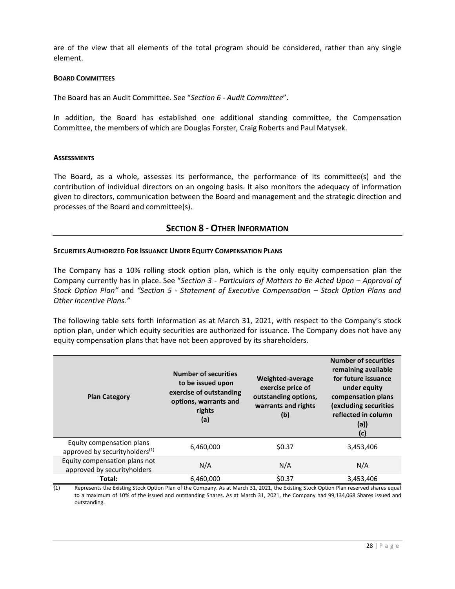are of the view that all elements of the total program should be considered, rather than any single element.

### **BOARD COMMITTEES**

The Board has an Audit Committee. See "*Section 6 - Audit Committee*".

In addition, the Board has established one additional standing committee, the Compensation Committee, the members of which are Douglas Forster, Craig Roberts and Paul Matysek.

### **ASSESSMENTS**

The Board, as a whole, assesses its performance, the performance of its committee(s) and the contribution of individual directors on an ongoing basis. It also monitors the adequacy of information given to directors, communication between the Board and management and the strategic direction and processes of the Board and committee(s).

### **SECTION 8 - OTHER INFORMATION**

### **SECURITIES AUTHORIZED FOR ISSUANCE UNDER EQUITY COMPENSATION PLANS**

The Company has a 10% rolling stock option plan, which is the only equity compensation plan the Company currently has in place. See "*Section 3 - Particulars of Matters to Be Acted Upon – Approval of Stock Option Plan"* and *"Section 5 - Statement of Executive Compensation – Stock Option Plans and Other Incentive Plans."*

The following table sets forth information as at March 31, 2021, with respect to the Company's stock option plan, under which equity securities are authorized for issuance. The Company does not have any equity compensation plans that have not been approved by its shareholders.

| <b>Plan Category</b>                                                     | <b>Number of securities</b><br>to be issued upon<br>exercise of outstanding<br>options, warrants and<br>rights<br>(a) | Weighted-average<br>exercise price of<br>outstanding options,<br>warrants and rights<br>(b) | <b>Number of securities</b><br>remaining available<br>for future issuance<br>under equity<br>compensation plans<br>(excluding securities<br>reflected in column<br>(a))<br>(c) |
|--------------------------------------------------------------------------|-----------------------------------------------------------------------------------------------------------------------|---------------------------------------------------------------------------------------------|--------------------------------------------------------------------------------------------------------------------------------------------------------------------------------|
| Equity compensation plans<br>approved by security holders <sup>(1)</sup> | 6,460,000                                                                                                             | \$0.37                                                                                      | 3,453,406                                                                                                                                                                      |
| Equity compensation plans not<br>approved by security holders            | N/A                                                                                                                   | N/A                                                                                         | N/A                                                                                                                                                                            |
| Total:                                                                   | 6,460,000                                                                                                             | \$0.37                                                                                      | 3,453,406                                                                                                                                                                      |

(1) Represents the Existing Stock Option Plan of the Company. As at March 31, 2021, the Existing Stock Option Plan reserved shares equal to a maximum of 10% of the issued and outstanding Shares. As at March 31, 2021, the Company had 99,134,068 Shares issued and outstanding.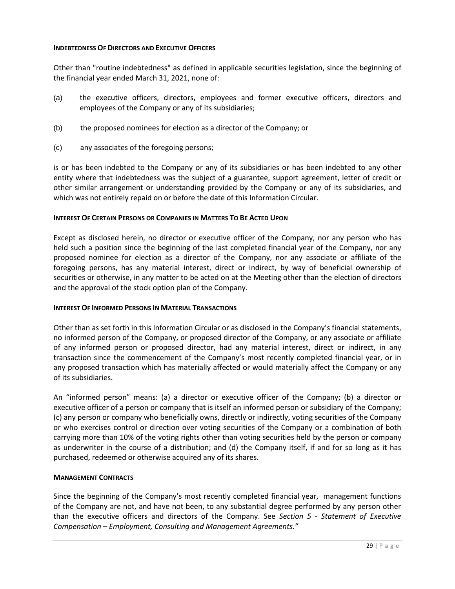### **INDEBTEDNESS OF DIRECTORS AND EXECUTIVE OFFICERS**

Other than "routine indebtedness" as defined in applicable securities legislation, since the beginning of the financial year ended March 31, 2021, none of:

- (a) the executive officers, directors, employees and former executive officers, directors and employees of the Company or any of its subsidiaries;
- (b) the proposed nominees for election as a director of the Company; or
- (c) any associates of the foregoing persons;

is or has been indebted to the Company or any of its subsidiaries or has been indebted to any other entity where that indebtedness was the subject of a guarantee, support agreement, letter of credit or other similar arrangement or understanding provided by the Company or any of its subsidiaries, and which was not entirely repaid on or before the date of this Information Circular.

### **INTEREST OF CERTAIN PERSONS OR COMPANIES IN MATTERS TO BE ACTED UPON**

Except as disclosed herein, no director or executive officer of the Company, nor any person who has held such a position since the beginning of the last completed financial year of the Company, nor any proposed nominee for election as a director of the Company, nor any associate or affiliate of the foregoing persons, has any material interest, direct or indirect, by way of beneficial ownership of securities or otherwise, in any matter to be acted on at the Meeting other than the election of directors and the approval of the stock option plan of the Company.

### **INTEREST OF INFORMED PERSONS IN MATERIAL TRANSACTIONS**

Other than as set forth in this Information Circular or as disclosed in the Company's financial statements, no informed person of the Company, or proposed director of the Company, or any associate or affiliate of any informed person or proposed director, had any material interest, direct or indirect, in any transaction since the commencement of the Company's most recently completed financial year, or in any proposed transaction which has materially affected or would materially affect the Company or any of its subsidiaries.

An "informed person" means: (a) a director or executive officer of the Company; (b) a director or executive officer of a person or company that is itself an informed person or subsidiary of the Company; (c) any person or company who beneficially owns, directly or indirectly, voting securities of the Company or who exercises control or direction over voting securities of the Company or a combination of both carrying more than 10% of the voting rights other than voting securities held by the person or company as underwriter in the course of a distribution; and (d) the Company itself, if and for so long as it has purchased, redeemed or otherwise acquired any of its shares.

### **MANAGEMENT CONTRACTS**

Since the beginning of the Company's most recently completed financial year, management functions of the Company are not, and have not been, to any substantial degree performed by any person other than the executive officers and directors of the Company. See *Section 5 - Statement of Executive Compensation – Employment, Consulting and Management Agreements."*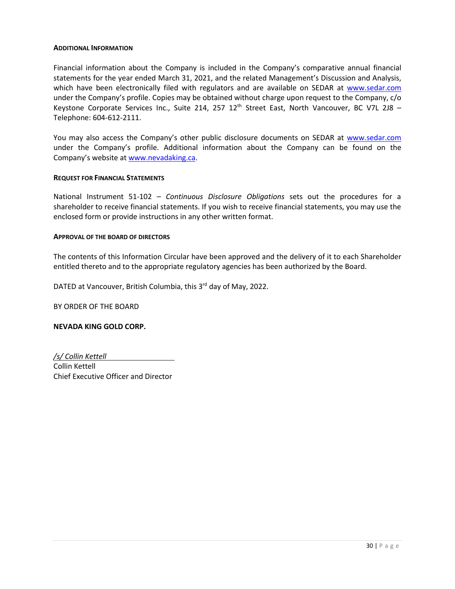### **ADDITIONAL INFORMATION**

Financial information about the Company is included in the Company's comparative annual financial statements for the year ended March 31, 2021, and the related Management's Discussion and Analysis, which have been electronically filed with regulators and are available on SEDAR at [www.sedar.com](http://www.sedar.com/) under the Company's profile. Copies may be obtained without charge upon request to the Company, c/o Keystone Corporate Services Inc., Suite 214, 257  $12<sup>th</sup>$  Street East, North Vancouver, BC V7L 2J8 – Telephone: 604-612-2111.

You may also access the Company's other public disclosure documents on SEDAR at [www.sedar.com](http://www.sedar.com/) under the Company's profile. Additional information about the Company can be found on the Company's website at [www.nevadaking.ca.](http://www.nevadaking.ca/)

### **REQUEST FOR FINANCIAL STATEMENTS**

National Instrument 51-102 – *Continuous Disclosure Obligations* sets out the procedures for a shareholder to receive financial statements. If you wish to receive financial statements, you may use the enclosed form or provide instructions in any other written format.

### **APPROVAL OF THE BOARD OF DIRECTORS**

The contents of this Information Circular have been approved and the delivery of it to each Shareholder entitled thereto and to the appropriate regulatory agencies has been authorized by the Board.

DATED at Vancouver, British Columbia, this 3<sup>rd</sup> day of May, 2022.

BY ORDER OF THE BOARD

### **NEVADA KING GOLD CORP.**

*/s/ Collin Kettell* Collin Kettell Chief Executive Officer and Director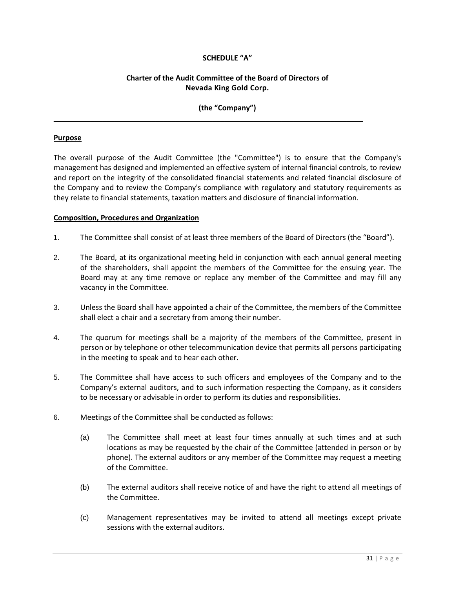### **SCHEDULE "A"**

### **Charter of the Audit Committee of the Board of Directors of Nevada King Gold Corp.**

**(the "Company")**

\_\_\_\_\_\_\_\_\_\_\_\_\_\_\_\_\_\_\_\_\_\_\_\_\_\_\_\_\_\_\_\_\_\_\_\_\_\_\_\_\_\_\_\_\_\_\_\_\_\_\_\_\_\_\_\_\_\_\_\_\_\_\_\_\_\_\_\_\_\_\_\_\_\_\_\_

### **Purpose**

The overall purpose of the Audit Committee (the "Committee") is to ensure that the Company's management has designed and implemented an effective system of internal financial controls, to review and report on the integrity of the consolidated financial statements and related financial disclosure of the Company and to review the Company's compliance with regulatory and statutory requirements as they relate to financial statements, taxation matters and disclosure of financial information.

### **Composition, Procedures and Organization**

- 1. The Committee shall consist of at least three members of the Board of Directors (the "Board").
- 2. The Board, at its organizational meeting held in conjunction with each annual general meeting of the shareholders, shall appoint the members of the Committee for the ensuing year. The Board may at any time remove or replace any member of the Committee and may fill any vacancy in the Committee.
- 3. Unless the Board shall have appointed a chair of the Committee, the members of the Committee shall elect a chair and a secretary from among their number.
- 4. The quorum for meetings shall be a majority of the members of the Committee, present in person or by telephone or other telecommunication device that permits all persons participating in the meeting to speak and to hear each other.
- 5. The Committee shall have access to such officers and employees of the Company and to the Company's external auditors, and to such information respecting the Company, as it considers to be necessary or advisable in order to perform its duties and responsibilities.
- 6. Meetings of the Committee shall be conducted as follows:
	- (a) The Committee shall meet at least four times annually at such times and at such locations as may be requested by the chair of the Committee (attended in person or by phone). The external auditors or any member of the Committee may request a meeting of the Committee.
	- (b) The external auditors shall receive notice of and have the right to attend all meetings of the Committee.
	- (c) Management representatives may be invited to attend all meetings except private sessions with the external auditors.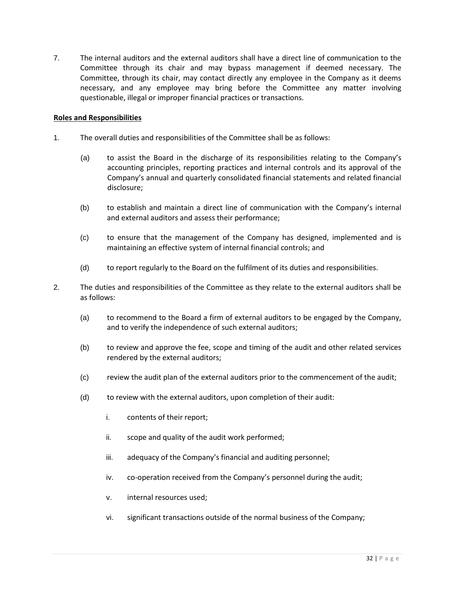7. The internal auditors and the external auditors shall have a direct line of communication to the Committee through its chair and may bypass management if deemed necessary. The Committee, through its chair, may contact directly any employee in the Company as it deems necessary, and any employee may bring before the Committee any matter involving questionable, illegal or improper financial practices or transactions.

### **Roles and Responsibilities**

- 1. The overall duties and responsibilities of the Committee shall be as follows:
	- (a) to assist the Board in the discharge of its responsibilities relating to the Company's accounting principles, reporting practices and internal controls and its approval of the Company's annual and quarterly consolidated financial statements and related financial disclosure;
	- (b) to establish and maintain a direct line of communication with the Company's internal and external auditors and assess their performance;
	- (c) to ensure that the management of the Company has designed, implemented and is maintaining an effective system of internal financial controls; and
	- (d) to report regularly to the Board on the fulfilment of its duties and responsibilities.
- 2. The duties and responsibilities of the Committee as they relate to the external auditors shall be as follows:
	- (a) to recommend to the Board a firm of external auditors to be engaged by the Company, and to verify the independence of such external auditors;
	- (b) to review and approve the fee, scope and timing of the audit and other related services rendered by the external auditors;
	- (c) review the audit plan of the external auditors prior to the commencement of the audit;
	- (d) to review with the external auditors, upon completion of their audit:
		- i. contents of their report;
		- ii. scope and quality of the audit work performed;
		- iii. adequacy of the Company's financial and auditing personnel;
		- iv. co-operation received from the Company's personnel during the audit;
		- v. internal resources used;
		- vi. significant transactions outside of the normal business of the Company;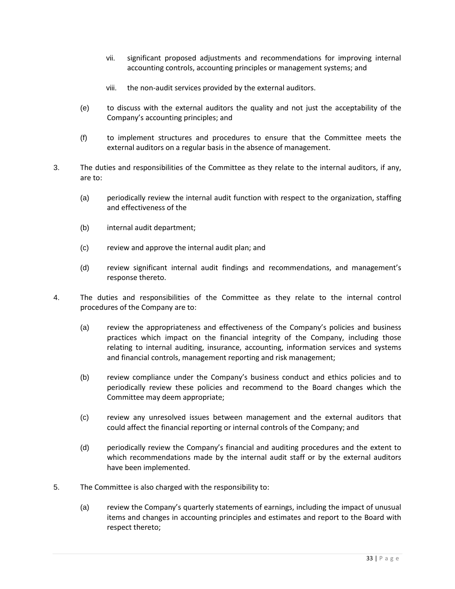- vii. significant proposed adjustments and recommendations for improving internal accounting controls, accounting principles or management systems; and
- viii. the non-audit services provided by the external auditors.
- (e) to discuss with the external auditors the quality and not just the acceptability of the Company's accounting principles; and
- (f) to implement structures and procedures to ensure that the Committee meets the external auditors on a regular basis in the absence of management.
- 3. The duties and responsibilities of the Committee as they relate to the internal auditors, if any, are to:
	- (a) periodically review the internal audit function with respect to the organization, staffing and effectiveness of the
	- (b) internal audit department;
	- (c) review and approve the internal audit plan; and
	- (d) review significant internal audit findings and recommendations, and management's response thereto.
- 4. The duties and responsibilities of the Committee as they relate to the internal control procedures of the Company are to:
	- (a) review the appropriateness and effectiveness of the Company's policies and business practices which impact on the financial integrity of the Company, including those relating to internal auditing, insurance, accounting, information services and systems and financial controls, management reporting and risk management;
	- (b) review compliance under the Company's business conduct and ethics policies and to periodically review these policies and recommend to the Board changes which the Committee may deem appropriate;
	- (c) review any unresolved issues between management and the external auditors that could affect the financial reporting or internal controls of the Company; and
	- (d) periodically review the Company's financial and auditing procedures and the extent to which recommendations made by the internal audit staff or by the external auditors have been implemented.
- 5. The Committee is also charged with the responsibility to:
	- (a) review the Company's quarterly statements of earnings, including the impact of unusual items and changes in accounting principles and estimates and report to the Board with respect thereto;